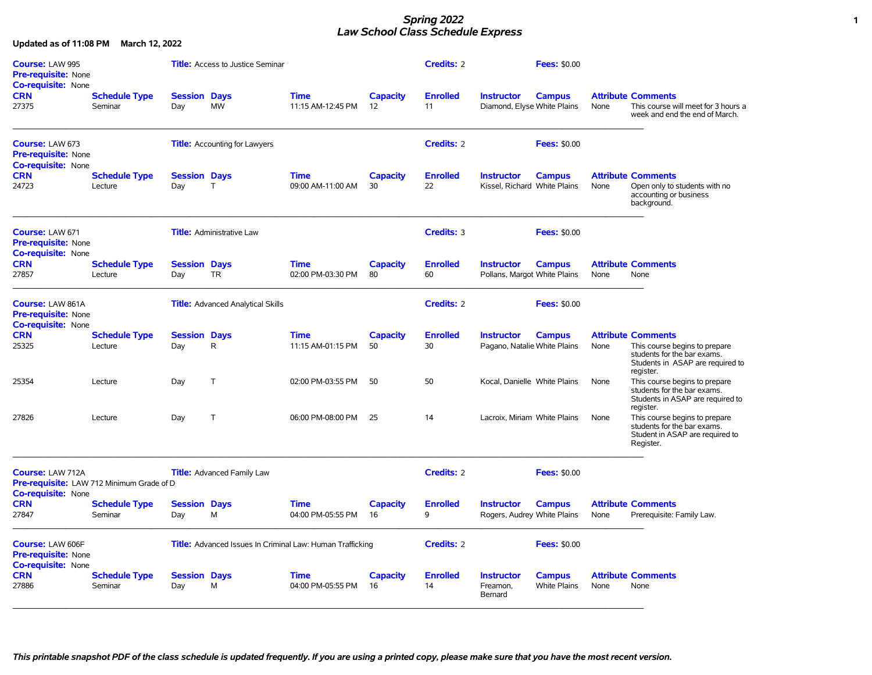### *Spring 2022* **1** *Law School Class Schedule Express*

| Course: LAW 995<br><b>Pre-requisite: None</b><br><b>Co-requisite: None</b>                        |                                 |                            | <b>Title:</b> Access to Justice Seminar                          |                                  |                       | Credits: 2            |                                                   | <b>Fees: \$0.00</b>                  |      |                                                                                                                                            |
|---------------------------------------------------------------------------------------------------|---------------------------------|----------------------------|------------------------------------------------------------------|----------------------------------|-----------------------|-----------------------|---------------------------------------------------|--------------------------------------|------|--------------------------------------------------------------------------------------------------------------------------------------------|
| <b>CRN</b><br>27375                                                                               | <b>Schedule Type</b><br>Seminar | <b>Session Days</b><br>Day | MW                                                               | <b>Time</b><br>11:15 AM-12:45 PM | <b>Capacity</b><br>12 | <b>Enrolled</b><br>11 | <b>Instructor</b><br>Diamond, Elyse White Plains  | <b>Campus</b>                        | None | <b>Attribute Comments</b><br>This course will meet for 3 hours a<br>week and end the end of March.                                         |
| <b>Course: LAW 673</b><br><b>Pre-requisite: None</b><br><b>Co-requisite: None</b>                 |                                 |                            | <b>Title:</b> Accounting for Lawyers                             |                                  |                       | Credits: 2            |                                                   | <b>Fees: \$0.00</b>                  |      |                                                                                                                                            |
| <b>CRN</b><br>24723                                                                               | <b>Schedule Type</b><br>Lecture | <b>Session Days</b><br>Day | $\mathsf{T}$                                                     | <b>Time</b><br>09:00 AM-11:00 AM | <b>Capacity</b><br>30 | <b>Enrolled</b><br>22 | <b>Instructor</b><br>Kissel, Richard White Plains | <b>Campus</b>                        | None | <b>Attribute Comments</b><br>Open only to students with no<br>accounting or business<br>background.                                        |
| Course: LAW 671<br><b>Pre-requisite: None</b><br><b>Co-requisite: None</b>                        |                                 |                            | <b>Title:</b> Administrative Law                                 |                                  |                       | Credits: 3            |                                                   | <b>Fees: \$0.00</b>                  |      |                                                                                                                                            |
| <b>CRN</b><br>27857                                                                               | <b>Schedule Type</b><br>Lecture | <b>Session Days</b><br>Day | <b>TR</b>                                                        | <b>Time</b><br>02:00 PM-03:30 PM | <b>Capacity</b><br>80 | <b>Enrolled</b><br>60 | <b>Instructor</b><br>Pollans, Margot White Plains | <b>Campus</b>                        | None | <b>Attribute Comments</b><br>None                                                                                                          |
| Course: LAW 861A<br><b>Pre-requisite: None</b><br><b>Co-requisite: None</b>                       |                                 |                            | <b>Title:</b> Advanced Analytical Skills                         |                                  |                       | <b>Credits: 2</b>     |                                                   | <b>Fees: \$0.00</b>                  |      |                                                                                                                                            |
| <b>CRN</b><br>25325                                                                               | <b>Schedule Type</b><br>Lecture | <b>Session Days</b><br>Day | $\mathsf{R}$                                                     | <b>Time</b><br>11:15 AM-01:15 PM | <b>Capacity</b><br>50 | <b>Enrolled</b><br>30 | <b>Instructor</b><br>Pagano, Natalie White Plains | <b>Campus</b>                        | None | <b>Attribute Comments</b><br>This course begins to prepare<br>students for the bar exams.<br>Students in ASAP are required to<br>register. |
| 25354                                                                                             | Lecture                         | Day                        | $\mathsf{T}$                                                     | 02:00 PM-03:55 PM                | 50                    | 50                    | Kocal, Danielle White Plains                      |                                      | None | This course begins to prepare<br>students for the bar exams.<br>Students in ASAP are required to<br>register.                              |
| 27826                                                                                             | Lecture                         | Day                        | $\mathsf{T}$                                                     | 06:00 PM-08:00 PM                | 25                    | 14                    | Lacroix, Miriam White Plains                      |                                      | None | This course begins to prepare<br>students for the bar exams.<br>Student in ASAP are required to<br>Register.                               |
| <b>Course: LAW 712A</b><br>Pre-requisite: LAW 712 Minimum Grade of D<br><b>Co-requisite: None</b> |                                 |                            | <b>Title:</b> Advanced Family Law                                |                                  |                       | <b>Credits: 2</b>     |                                                   | <b>Fees: \$0.00</b>                  |      |                                                                                                                                            |
| <b>CRN</b><br>27847                                                                               | <b>Schedule Type</b><br>Seminar | <b>Session Days</b><br>Day | M                                                                | <b>Time</b><br>04:00 PM-05:55 PM | <b>Capacity</b><br>16 | <b>Enrolled</b><br>9  | <b>Instructor</b><br>Rogers, Audrey White Plains  | <b>Campus</b>                        | None | <b>Attribute Comments</b><br>Prerequisite: Family Law.                                                                                     |
| Course: LAW 606F<br><b>Pre-requisite: None</b><br><b>Co-requisite: None</b>                       |                                 |                            | <b>Title:</b> Advanced Issues In Criminal Law: Human Trafficking |                                  |                       | <b>Credits: 2</b>     |                                                   | <b>Fees: \$0.00</b>                  |      |                                                                                                                                            |
| <b>CRN</b><br>27886                                                                               | <b>Schedule Type</b><br>Seminar | <b>Session Days</b><br>Day | M                                                                | <b>Time</b><br>04:00 PM-05:55 PM | <b>Capacity</b><br>16 | <b>Enrolled</b><br>14 | <b>Instructor</b><br>Freamon,<br>Bernard          | <b>Campus</b><br><b>White Plains</b> | None | <b>Attribute Comments</b><br>None                                                                                                          |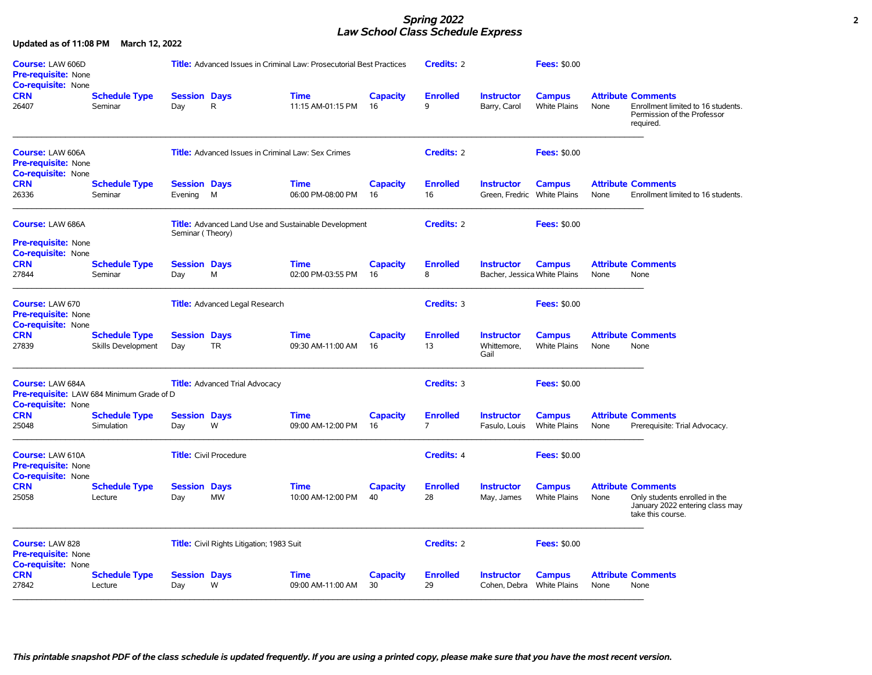### *Spring 2022* **2** *Law School Class Schedule Express*

| Course: LAW 606D<br><b>Pre-requisite: None</b><br><b>Co-requisite: None</b>                |                                                   |                                | <b>Title:</b> Advanced Issues in Criminal Law: Prosecutorial Best Practices |                                  |                       | Credits: 2                        |                                                   | <b>Fees: \$0.00</b>                  |      |                                                                                                                    |
|--------------------------------------------------------------------------------------------|---------------------------------------------------|--------------------------------|-----------------------------------------------------------------------------|----------------------------------|-----------------------|-----------------------------------|---------------------------------------------------|--------------------------------------|------|--------------------------------------------------------------------------------------------------------------------|
| <b>CRN</b><br>26407                                                                        | <b>Schedule Type</b><br>Seminar                   | <b>Session Days</b><br>Day     | R                                                                           | Time<br>11:15 AM-01:15 PM        | <b>Capacity</b><br>16 | <b>Enrolled</b><br>9              | <b>Instructor</b><br>Barry, Carol                 | <b>Campus</b><br>White Plains        | None | <b>Attribute Comments</b><br>Enrollment limited to 16 students.<br>Permission of the Professor<br>required.        |
| Course: LAW 606A<br>Pre-requisite: None<br><b>Co-requisite: None</b>                       |                                                   |                                | <b>Title:</b> Advanced Issues in Criminal Law: Sex Crimes                   |                                  |                       | <b>Credits: 2</b>                 |                                                   | <b>Fees: \$0.00</b>                  |      |                                                                                                                    |
| <b>CRN</b><br>26336                                                                        | <b>Schedule Type</b><br>Seminar                   | <b>Session Days</b><br>Evening | M                                                                           | <b>Time</b><br>06:00 PM-08:00 PM | <b>Capacity</b><br>16 | <b>Enrolled</b><br>16             | <b>Instructor</b><br>Green, Fredric White Plains  | <b>Campus</b>                        | None | <b>Attribute Comments</b><br>Enrollment limited to 16 students.                                                    |
| Course: LAW 686A                                                                           |                                                   | Seminar (Theory)               | <b>Title:</b> Advanced Land Use and Sustainable Development                 |                                  |                       | <b>Credits: 2</b>                 |                                                   | <b>Fees: \$0.00</b>                  |      |                                                                                                                    |
| <b>Pre-requisite: None</b><br><b>Co-requisite: None</b><br><b>CRN</b><br>27844             | <b>Schedule Type</b><br>Seminar                   | <b>Session Days</b><br>Day     | M                                                                           | <b>Time</b><br>02:00 PM-03:55 PM | <b>Capacity</b><br>16 | <b>Enrolled</b><br>8              | <b>Instructor</b><br>Bacher, Jessica White Plains | <b>Campus</b>                        | None | <b>Attribute Comments</b><br>None                                                                                  |
| Course: LAW 670<br><b>Pre-requisite: None</b>                                              |                                                   |                                | <b>Title:</b> Advanced Legal Research                                       |                                  |                       | <b>Credits: 3</b>                 |                                                   | <b>Fees: \$0.00</b>                  |      |                                                                                                                    |
| <b>Co-requisite: None</b><br><b>CRN</b><br>27839                                           | <b>Schedule Type</b><br><b>Skills Development</b> | <b>Session Days</b><br>Day     | <b>TR</b>                                                                   | <b>Time</b><br>09:30 AM-11:00 AM | <b>Capacity</b><br>16 | <b>Enrolled</b><br>13             | <b>Instructor</b><br>Whittemore.<br>Gail          | <b>Campus</b><br><b>White Plains</b> | None | <b>Attribute Comments</b><br>None                                                                                  |
| Course: LAW 684A<br>Pre-requisite: LAW 684 Minimum Grade of D<br><b>Co-requisite: None</b> |                                                   |                                | <b>Title:</b> Advanced Trial Advocacy                                       |                                  |                       | <b>Credits: 3</b>                 |                                                   | <b>Fees: \$0.00</b>                  |      |                                                                                                                    |
| <b>CRN</b><br>25048                                                                        | <b>Schedule Type</b><br>Simulation                | <b>Session Days</b><br>Day     | W                                                                           | <b>Time</b><br>09:00 AM-12:00 PM | Capacity<br>16        | <b>Enrolled</b><br>$\overline{7}$ | <b>Instructor</b><br>Fasulo, Louis                | <b>Campus</b><br>White Plains        | None | <b>Attribute Comments</b><br>Prerequisite: Trial Advocacy.                                                         |
| Course: LAW 610A<br><b>Pre-requisite: None</b><br><b>Co-requisite: None</b>                |                                                   |                                | <b>Title:</b> Civil Procedure                                               |                                  |                       | <b>Credits: 4</b>                 |                                                   | <b>Fees: \$0.00</b>                  |      |                                                                                                                    |
| <b>CRN</b><br>25058                                                                        | <b>Schedule Type</b><br>Lecture                   | <b>Session Days</b><br>Day     | <b>MW</b>                                                                   | Time<br>10:00 AM-12:00 PM        | <b>Capacity</b><br>40 | <b>Enrolled</b><br>28             | <b>Instructor</b><br>May, James                   | <b>Campus</b><br><b>White Plains</b> | None | <b>Attribute Comments</b><br>Only students enrolled in the<br>January 2022 entering class may<br>take this course. |
| Course: LAW 828<br><b>Pre-requisite: None</b><br><b>Co-requisite: None</b>                 |                                                   |                                | <b>Title:</b> Civil Rights Litigation; 1983 Suit                            |                                  |                       | <b>Credits: 2</b>                 |                                                   | <b>Fees: \$0.00</b>                  |      |                                                                                                                    |
| <b>CRN</b><br>27842                                                                        | <b>Schedule Type</b><br>Lecture                   | <b>Session Days</b><br>Day     | W                                                                           | <b>Time</b><br>09:00 AM-11:00 AM | Capacity<br>30        | <b>Enrolled</b><br>29             | <b>Instructor</b><br>Cohen, Debra                 | <b>Campus</b><br>White Plains        | None | <b>Attribute Comments</b><br>None                                                                                  |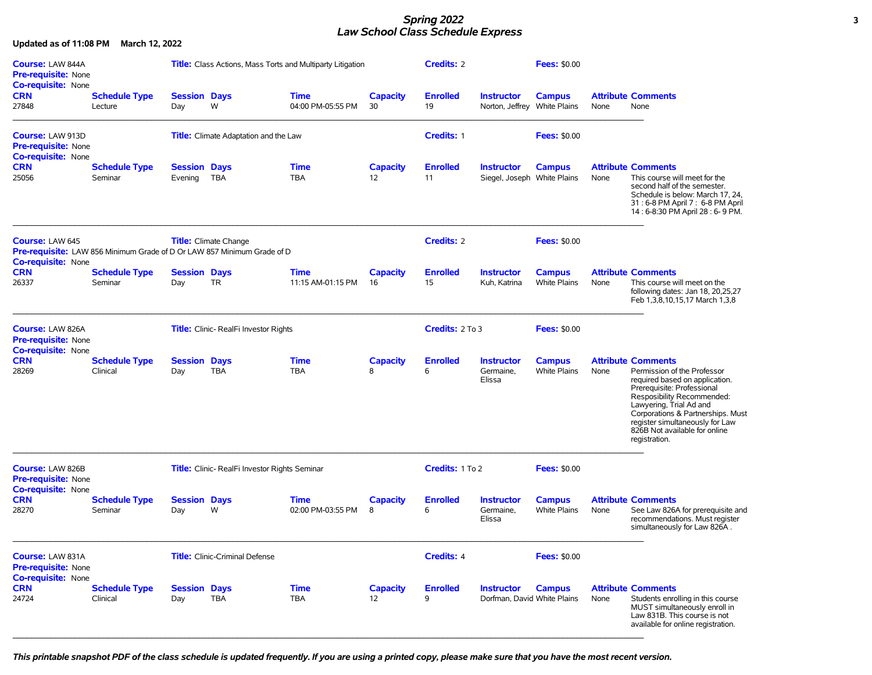#### *Spring 2022* **3** *Law School Class Schedule Express*

**Updated as of 11:08 PM March 12, 2022 Course:** LAW 844A **Title:** Class Actions, Mass Torts and Multiparty Litigation **Credits:** 2 **Fees:** \$0.00 **Pre-requisite:** None **Co-requisite:** None **CRN Schedule Type Session Days Time Capacity Enrolled Instructor Campus Attribute Comments**  27848 Lecture Day W 04:00 PM-05:55 PM 30 19 Norton, Jeffrey White Plains None None  $\_$  , and the state of the state of the state of the state of the state of the state of the state of the state of the state of the state of the state of the state of the state of the state of the state of the state of the **Course:** LAW 913D **Title:** Climate Adaptation and the Law **Credits:** 1 **Fees:** \$0.00 **Pre-requisite:** None **Co-requisite:** None **CRN Schedule Type Session Days Time Capacity Enrolled Instructor Campus Attribute Comments**  25056 Seminar Evening TBA TBA 12 11 Siegel, Joseph White Plains None This course will meet for the second half of the semester. Schedule is below: March 17, 24, 31 : 6-8 PM April 7 : 6-8 PM April 14 : 6-8:30 PM April 28 : 6- 9 PM.  $\mathcal{L} = \{ \mathcal{L} = \{ \mathcal{L} = \{ \mathcal{L} = \{ \mathcal{L} = \{ \mathcal{L} = \{ \mathcal{L} = \{ \mathcal{L} = \{ \mathcal{L} = \{ \mathcal{L} = \{ \mathcal{L} = \{ \mathcal{L} = \{ \mathcal{L} = \{ \mathcal{L} = \{ \mathcal{L} = \{ \mathcal{L} = \{ \mathcal{L} = \{ \mathcal{L} = \{ \mathcal{L} = \{ \mathcal{L} = \{ \mathcal{L} = \{ \mathcal{L} = \{ \mathcal{L} = \{ \mathcal{L} = \{ \mathcal{$ **Course:** LAW 645 **Title:** Climate Change **Credits:** 2 **Fees:** \$0.00 **Pre-requisite:** LAW 856 Minimum Grade of D Or LAW 857 Minimum Grade of D **Co-requisite:** None **CRN Schedule Type Session Days Time Capacity Enrolled Instructor Campus Attribute Comments**  26337 Seminar Day TR 11:15 AM-01:15 PM 16 15 Kuh, Katrina White Plains None This course will meet on the following dates: Jan 18, 20,25,27 Feb 1,3,8,10,15,17 March 1,3,8  $\_$  , and the state of the state of the state of the state of the state of the state of the state of the state of the state of the state of the state of the state of the state of the state of the state of the state of the **Course:** LAW 826A **Title:** Clinic- RealFi Investor Rights **Credits:** 2 To 3 **Fees:** \$0.00 **Pre-requisite:** None **Co-requisite:** None **CRN Schedule Type Session Days Time Capacity Enrolled Instructor Campus Attribute Comments**  28269 Clinical Day TBA TBA 8 6 Germaine, Elissa White Plains None Permission of the Professor required based on application. Prerequisite: Professional Resposibility Recommended: Lawyering, Trial Ad and Corporations & Partnerships. Must register simultaneously for Law 826B Not available for online registration.  $\_$  , and the state of the state of the state of the state of the state of the state of the state of the state of the state of the state of the state of the state of the state of the state of the state of the state of the **Course:** LAW 826B **Title:** Clinic- RealFi Investor Rights Seminar **Credits:** 1 To 2 **Fees:** \$0.00 **Pre-requisite:** None **Co-requisite:** None **CRN Schedule Type Session Days Time Capacity Enrolled Instructor Campus Attribute Comments**  28270 Seminar Day W 02:00 PM-03:55 PM 8 6 Germaine, Elissa White Plains None See Law 826A for prerequisite and recommendations. Must register simultaneously for Law 826A .  $\_$  , and the state of the state of the state of the state of the state of the state of the state of the state of the state of the state of the state of the state of the state of the state of the state of the state of the **Course:** LAW 831A **Title:** Clinic-Criminal Defense **Credits:** 4 **Fees:** \$0.00 **Pre-requisite:** None **Co-requisite:** None **CRN Schedule Type Session Days Time Capacity Enrolled Instructor Campus Attribute Comments**  24724 Clinical Day TBA TBA 12 9 Dorfman, David White Plains None Students enrolling in this course MUST simultaneously enroll in Law 831B. This course is not available for online registration.  $\_$  , and the state of the state of the state of the state of the state of the state of the state of the state of the state of the state of the state of the state of the state of the state of the state of the state of the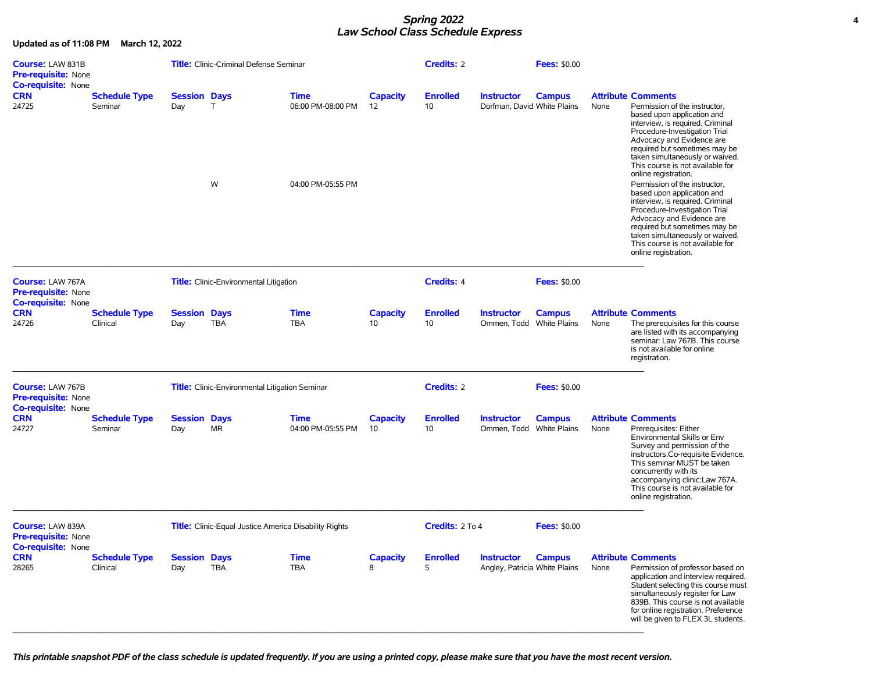### *Spring 2022* **4** *Law School Class Schedule Express*

**Updated as of 11:08 PM March 12, 2022**

| <b>Course: LAW 831B</b><br>Pre-requisite: None<br>Co-requisite: None        |                                  |                            | <b>Title:</b> Clinic-Criminal Defense Seminar                |                                                       |                       | <b>Credits: 2</b>     |                                                    | <b>Fees: \$0.00</b> |      |                                                                                                                                                                                                                                                                                                                                                                                                                                                                                                                                                                                                                             |
|-----------------------------------------------------------------------------|----------------------------------|----------------------------|--------------------------------------------------------------|-------------------------------------------------------|-----------------------|-----------------------|----------------------------------------------------|---------------------|------|-----------------------------------------------------------------------------------------------------------------------------------------------------------------------------------------------------------------------------------------------------------------------------------------------------------------------------------------------------------------------------------------------------------------------------------------------------------------------------------------------------------------------------------------------------------------------------------------------------------------------------|
| <b>CRN</b><br>24725                                                         | <b>Schedule Type</b><br>Seminar  | <b>Session Days</b><br>Day | $\mathsf{T}$<br>W                                            | <b>Time</b><br>06:00 PM-08:00 PM<br>04:00 PM-05:55 PM | <b>Capacity</b><br>12 | <b>Enrolled</b><br>10 | <b>Instructor</b><br>Dorfman, David White Plains   | <b>Campus</b>       | None | <b>Attribute Comments</b><br>Permission of the instructor,<br>based upon application and<br>interview, is required. Criminal<br>Procedure-Investigation Trial<br>Advocacy and Evidence are<br>required but sometimes may be<br>taken simultaneously or waived.<br>This course is not available for<br>online registration.<br>Permission of the instructor,<br>based upon application and<br>interview, is required. Criminal<br>Procedure-Investigation Trial<br>Advocacy and Evidence are<br>required but sometimes may be<br>taken simultaneously or waived.<br>This course is not available for<br>online registration. |
| Course: LAW 767A<br>Pre-requisite: None                                     |                                  |                            | <b>Title:</b> Clinic-Environmental Litigation                |                                                       |                       | <b>Credits: 4</b>     |                                                    | <b>Fees: \$0.00</b> |      |                                                                                                                                                                                                                                                                                                                                                                                                                                                                                                                                                                                                                             |
| <b>Co-requisite: None</b><br><b>CRN</b><br>24726                            | <b>Schedule Type</b><br>Clinical | <b>Session Days</b><br>Day | <b>TBA</b>                                                   | <b>Time</b><br><b>TBA</b>                             | <b>Capacity</b><br>10 | <b>Enrolled</b><br>10 | <b>Instructor</b><br>Ommen, Todd White Plains      | <b>Campus</b>       | None | <b>Attribute Comments</b><br>The prerequisites for this course<br>are listed with its accompanying<br>seminar: Law 767B. This course<br>is not available for online<br>registration.                                                                                                                                                                                                                                                                                                                                                                                                                                        |
| Course: LAW 767B<br><b>Pre-requisite: None</b><br><b>Co-requisite: None</b> |                                  |                            | Title: Clinic-Environmental Litigation Seminar               |                                                       |                       | <b>Credits: 2</b>     |                                                    | <b>Fees: \$0.00</b> |      |                                                                                                                                                                                                                                                                                                                                                                                                                                                                                                                                                                                                                             |
| <b>CRN</b><br>24727                                                         | <b>Schedule Type</b><br>Seminar  | <b>Session Days</b><br>Day | <b>MR</b>                                                    | <b>Time</b><br>04:00 PM-05:55 PM                      | Capacity<br>10        | <b>Enrolled</b><br>10 | <b>Instructor</b><br>Ommen, Todd White Plains      | <b>Campus</b>       | None | <b>Attribute Comments</b><br>Prerequisites: Either<br>Environmental Skills or Env<br>Survey and permission of the<br>instructors.Co-requisite Evidence.<br>This seminar MUST be taken<br>concurrently with its<br>accompanying clinic:Law 767A.<br>This course is not available for<br>online registration.                                                                                                                                                                                                                                                                                                                 |
| Course: LAW 839A<br>Pre-requisite: None<br><b>Co-requisite: None</b>        |                                  |                            | <b>Title:</b> Clinic-Equal Justice America Disability Rights |                                                       |                       | Credits: 2 To 4       |                                                    | <b>Fees: \$0.00</b> |      |                                                                                                                                                                                                                                                                                                                                                                                                                                                                                                                                                                                                                             |
| <b>CRN</b><br>28265                                                         | <b>Schedule Type</b><br>Clinical | <b>Session Days</b><br>Day | <b>TBA</b>                                                   | <b>Time</b><br><b>TBA</b>                             | Capacity<br>8         | <b>Enrolled</b><br>5  | <b>Instructor</b><br>Angley, Patricia White Plains | <b>Campus</b>       | None | <b>Attribute Comments</b><br>Permission of professor based on<br>application and interview required.<br>Student selecting this course must<br>simultaneously register for Law<br>839B. This course is not available<br>for online registration. Preference<br>will be given to FLEX 3L students.                                                                                                                                                                                                                                                                                                                            |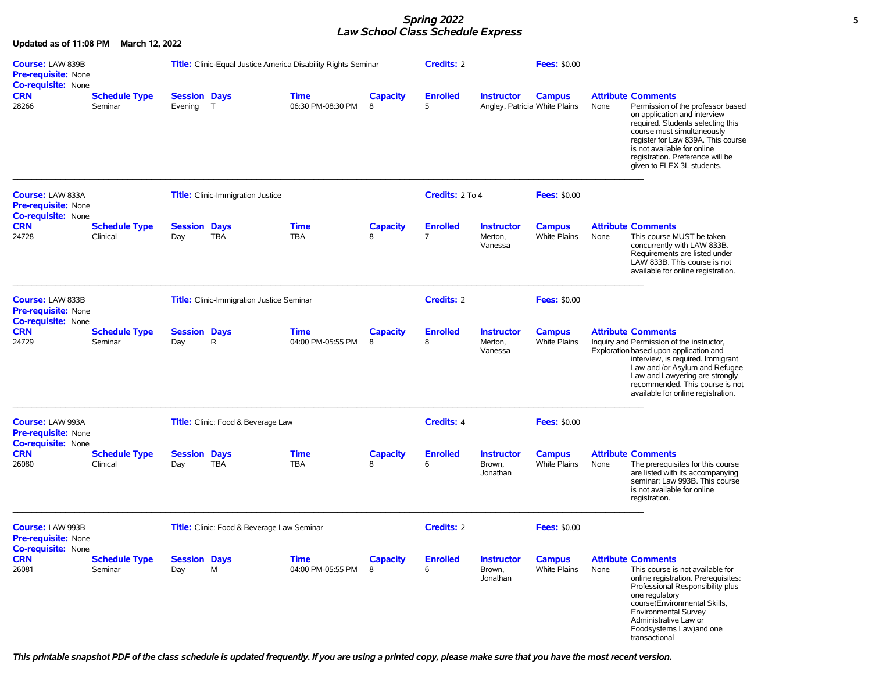#### *Spring 2022* **5** *Law School Class Schedule Express*

**Updated as of 11:08 PM March 12, 2022 Course:** LAW 839B **Title:** Clinic-Equal Justice America Disability Rights Seminar **Credits:** 2 **Fees:** \$0.00 **Pre-requisite:** None **Co-requisite:** None **CRN Schedule Type Session Days Time Capacity Enrolled Instructor Campus Attribute Comments**  28266 Seminar Evening T 06:30 PM-08:30 PM 8 5 Angley, Patricia White Plains None Permission of the professor based on application and interview required. Students selecting this course must simultaneously register for Law 839A. This course is not available for online registration. Preference will be given to FLEX 3L students.  $\_$  , and the state of the state of the state of the state of the state of the state of the state of the state of the state of the state of the state of the state of the state of the state of the state of the state of the **Course:** LAW 833A **Title:** Clinic-Immigration Justice **Credits:** 2 To 4 **Fees:** \$0.00 **Pre-requisite:** None **Co-requisite:** None **CRN Schedule Type Session Days Time Capacity Enrolled Instructor Campus Attribute Comments**  24728 Clinical Day TBA TBA 8 7 Merton, Vanessa White Plains None This course MUST be taken concurrently with LAW 833B. Requirements are listed under LAW 833B. This course is not available for online registration.  $\_$  , and the state of the state of the state of the state of the state of the state of the state of the state of the state of the state of the state of the state of the state of the state of the state of the state of the **Course:** LAW 833B **Title:** Clinic-Immigration Justice Seminar **Credits:** 2 **Fees:** \$0.00 **Pre-requisite:** None **Co-requisite:** None **CRN Schedule Type Session Days Time Capacity Enrolled Instructor Campus Attribute Comments**  24729 Seminar Day R 04:00 PM-05:55 PM 8 8 Merton, Vanessa White Plains Inquiry and Permission of the instructor, Exploration based upon application and interview, is required. Immigrant Law and /or Asylum and Refugee Law and Lawyering are strongly recommended. This course is not available for online registration.  $\mathcal{L} = \{ \mathcal{L} = \{ \mathcal{L} = \{ \mathcal{L} = \{ \mathcal{L} = \{ \mathcal{L} = \{ \mathcal{L} = \{ \mathcal{L} = \{ \mathcal{L} = \{ \mathcal{L} = \{ \mathcal{L} = \{ \mathcal{L} = \{ \mathcal{L} = \{ \mathcal{L} = \{ \mathcal{L} = \{ \mathcal{L} = \{ \mathcal{L} = \{ \mathcal{L} = \{ \mathcal{L} = \{ \mathcal{L} = \{ \mathcal{L} = \{ \mathcal{L} = \{ \mathcal{L} = \{ \mathcal{L} = \{ \mathcal{$ **Course:** LAW 993A **Title:** Clinic: Food & Beverage Law **Credits:** 4 **Fees:** \$0.00 **Pre-requisite:** None **Co-requisite:** None **CRN Schedule Type Session Days Time Capacity Enrolled Instructor Campus Attribute Comments**  26080 Clinical Day TBA TBA 8 6 Brown, Jonathan The prerequisites for this course are listed with its accompanying seminar: Law 993B. This course is not available for online registration.  $\_$  , and the state of the state of the state of the state of the state of the state of the state of the state of the state of the state of the state of the state of the state of the state of the state of the state of the **Course:** LAW 993B **Title:** Clinic: Food & Beverage Law Seminar **Credits:** 2 **Fees:** \$0.00 **Pre-requisite:** None **Co-requisite:** None **CRN Schedule Type Session Days Time Capacity Enrolled Instructor Campus Attribute Comments**  26081 Seminar Day M 04:00 PM-05:55 PM 8 6 Brown, Jonathan White Plains None This course is not available for online registration. Prerequisites: Professional Responsibility plus one regulatory course(Environmental Skills, Environmental Survey Administrative Law or Foodsystems Law)and one transactional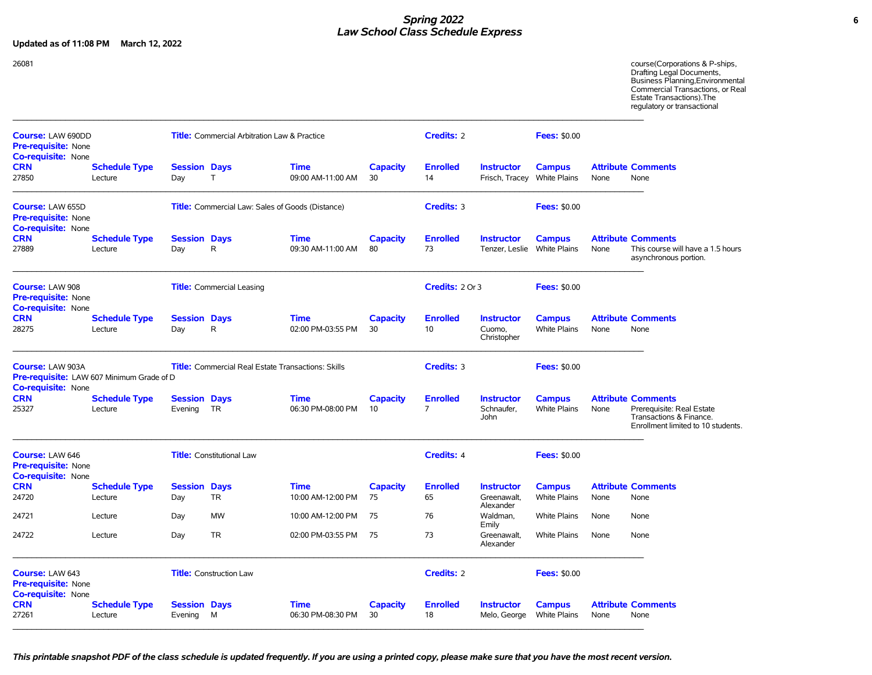## *Spring 2022* **6** *Law School Class Schedule Express*

**Updated as of 11:08 PM March 12, 2022**

26081 course(Corporations & P-ships, Drafting Legal Documents, Business Planning,Environmental Commercial Transactions, or Real Estate Transactions).The regulatory or transactional  $\_$  , and the state of the state of the state of the state of the state of the state of the state of the state of the state of the state of the state of the state of the state of the state of the state of the state of the **Course:** LAW 690DD **Title:** Commercial Arbitration Law & Practice **Credits:** 2 **Fees:** \$0.00 **Pre-requisite:** None **Co-requisite:** None **CRN Schedule Type Session Days Time Capacity Enrolled Instructor Campus Attribute Comments**<br>27850 Lecture Day T 09:00 AM-11:00 AM 30 14 Frisch, Tracey White Plains None None 27850 Lecture Day T 09:00 AM-11:00 AM 30 14 Frisch, Tracey White Plains None None  $\mathcal{L} = \{ \mathcal{L} = \{ \mathcal{L} = \{ \mathcal{L} = \{ \mathcal{L} = \{ \mathcal{L} = \{ \mathcal{L} = \{ \mathcal{L} = \{ \mathcal{L} = \{ \mathcal{L} = \{ \mathcal{L} = \{ \mathcal{L} = \{ \mathcal{L} = \{ \mathcal{L} = \{ \mathcal{L} = \{ \mathcal{L} = \{ \mathcal{L} = \{ \mathcal{L} = \{ \mathcal{L} = \{ \mathcal{L} = \{ \mathcal{L} = \{ \mathcal{L} = \{ \mathcal{L} = \{ \mathcal{L} = \{ \mathcal{$ **Course:** LAW 655D **Title:** Commercial Law: Sales of Goods (Distance) **Credits:** 3 **Fees:** \$0.00 **Pre-requisite:** None **Co-requisite:** None **CRN Schedule Type Session Days Time Capacity Enrolled Instructor Campus Attribute Comments**  27889 Lecture Day R 09:30 AM-11:00 AM 80 73 Tenzer, Leslie White Plains None This course will have a 1.5 hours asynchronous portion.  $\_$  , and the state of the state of the state of the state of the state of the state of the state of the state of the state of the state of the state of the state of the state of the state of the state of the state of the **Course:** LAW 908 **Title:** Commercial Leasing **Credits:** 2 Or 3 **Fees:** \$0.00 **Pre-requisite:** None **Co-requisite:** None **CRN Schedule Type Session Days Time Capacity Enrolled Instructor Campus Attribute Comments**  28275 Lecture Day R 02:00 PM-03:55 PM 30 10 Cuomo, Christopher White Plains None None  $\_$  , and the state of the state of the state of the state of the state of the state of the state of the state of the state of the state of the state of the state of the state of the state of the state of the state of the **Course:** LAW 903A **Title:** Commercial Real Estate Transactions: Skills **Credits:** 3 **Fees:** \$0.00 **Pre-requisite:** LAW 607 Minimum Grade of D **Co-requisite:** None **CRN Schedule Type Session Days Time Capacity Enrolled Instructor Campus Attribute Comments**  25327 Lecture Evening TR 06:30 PM-08:00 PM 10 7 Schnaufer, John White Plains None Prerequisite: Real Estate Transactions & Finance. Enrollment limited to 10 students.  $\_$  , and the state of the state of the state of the state of the state of the state of the state of the state of the state of the state of the state of the state of the state of the state of the state of the state of the **Course:** LAW 646 **Title:** Constitutional Law **Credits:** 4 **Fees:** \$0.00 **Pre-requisite:** None **Co-requisite:** None **CRN Schedule Type Session Days Time Capacity Enrolled Instructor Campus Attribute Comments**  24720 Lecture Day TR 10:00 AM-12:00 PM 75 65 Greenawalt, Alexander White Plains None None 24721 Lecture Day MW 10:00 AM-12:00 PM 75 76 Waldman, Emily White Plains None None 24722 Lecture Day TR 02:00 PM-03:55 PM 75 73 Greenawalt, Alexander White Plains None None  $\mathcal{L} = \{ \mathcal{L} = \{ \mathcal{L} = \{ \mathcal{L} = \{ \mathcal{L} = \{ \mathcal{L} = \{ \mathcal{L} = \{ \mathcal{L} = \{ \mathcal{L} = \{ \mathcal{L} = \{ \mathcal{L} = \{ \mathcal{L} = \{ \mathcal{L} = \{ \mathcal{L} = \{ \mathcal{L} = \{ \mathcal{L} = \{ \mathcal{L} = \{ \mathcal{L} = \{ \mathcal{L} = \{ \mathcal{L} = \{ \mathcal{L} = \{ \mathcal{L} = \{ \mathcal{L} = \{ \mathcal{L} = \{ \mathcal{$ **Course:** LAW 643 **Title:** Construction Law **Credits:** 2 **Fees:** \$0.00 **Pre-requisite:** None **Co-requisite:** None **CRN Schedule Type Session Days Time Capacity Enrolled Instructor Campus Attribute Comments**  27261 Lecture Evening M 06:30 PM-08:30 PM 30 18 Melo, George White Plains None None  $\_$  , and the state of the state of the state of the state of the state of the state of the state of the state of the state of the state of the state of the state of the state of the state of the state of the state of the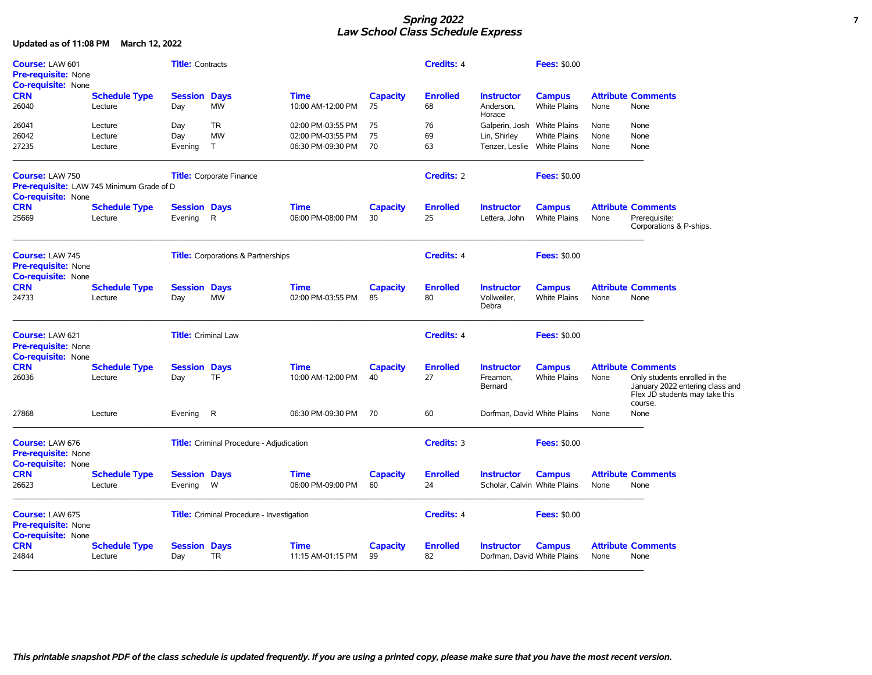### *Spring 2022* **7** *Law School Class Schedule Express*

| Course: LAW 601                                                            |                                           | <b>Title:</b> Contracts    |                                                  |                           |                 | <b>Credits: 4</b>     |                                                  | <b>Fees: \$0.00</b> |      |                                                                                                    |
|----------------------------------------------------------------------------|-------------------------------------------|----------------------------|--------------------------------------------------|---------------------------|-----------------|-----------------------|--------------------------------------------------|---------------------|------|----------------------------------------------------------------------------------------------------|
| <b>Pre-requisite: None</b><br>Co-requisite: None                           |                                           |                            |                                                  |                           |                 |                       |                                                  |                     |      |                                                                                                    |
| <b>CRN</b>                                                                 | <b>Schedule Type</b>                      | <b>Session Days</b>        |                                                  | <b>Time</b>               | <b>Capacity</b> | <b>Enrolled</b>       | <b>Instructor</b>                                | <b>Campus</b>       |      | <b>Attribute Comments</b>                                                                          |
| 26040                                                                      | Lecture                                   | Day                        | <b>MW</b>                                        | 10:00 AM-12:00 PM         | 75              | 68                    | Anderson,<br>Horace                              | <b>White Plains</b> | None | None                                                                                               |
| 26041                                                                      | Lecture                                   | Day                        | TR                                               | 02:00 PM-03:55 PM         | 75              | 76                    | Galperin, Josh                                   | <b>White Plains</b> | None | None                                                                                               |
| 26042                                                                      | Lecture                                   | Day                        | <b>MW</b>                                        | 02:00 PM-03:55 PM         | 75              | 69                    | Lin, Shirley                                     | <b>White Plains</b> | None | None                                                                                               |
| 27235                                                                      | Lecture                                   | Evening                    | T                                                | 06:30 PM-09:30 PM         | 70              | 63                    | Tenzer, Leslie White Plains                      |                     | None | None                                                                                               |
| Course: LAW 750                                                            |                                           |                            | <b>Title:</b> Corporate Finance                  |                           |                 | <b>Credits: 2</b>     |                                                  | <b>Fees: \$0.00</b> |      |                                                                                                    |
| <b>Co-requisite: None</b>                                                  | Pre-requisite: LAW 745 Minimum Grade of D |                            |                                                  |                           |                 |                       |                                                  |                     |      |                                                                                                    |
| <b>CRN</b>                                                                 | <b>Schedule Type</b>                      | <b>Session Days</b>        |                                                  | <b>Time</b>               | <b>Capacity</b> | <b>Enrolled</b>       | <b>Instructor</b>                                | <b>Campus</b>       |      | <b>Attribute Comments</b>                                                                          |
| 25669                                                                      | Lecture                                   | Evening                    | R                                                | 06:00 PM-08:00 PM         | 30              | 25                    | Lettera, John                                    | <b>White Plains</b> | None | Prerequisite:<br>Corporations & P-ships.                                                           |
| Course: LAW 745<br><b>Pre-requisite: None</b>                              |                                           |                            | <b>Title:</b> Corporations & Partnerships        |                           |                 | <b>Credits: 4</b>     |                                                  | <b>Fees: \$0.00</b> |      |                                                                                                    |
| Co-requisite: None                                                         |                                           |                            |                                                  |                           |                 |                       |                                                  |                     |      |                                                                                                    |
| <b>CRN</b>                                                                 | <b>Schedule Type</b>                      | <b>Session Days</b>        |                                                  | <b>Time</b>               | <b>Capacity</b> | <b>Enrolled</b>       | <b>Instructor</b>                                | <b>Campus</b>       |      | <b>Attribute Comments</b>                                                                          |
| 24733                                                                      | Lecture                                   | Day                        | <b>MW</b>                                        | 02:00 PM-03:55 PM         | 85              | 80                    | Vollweiler.<br>Debra                             | <b>White Plains</b> | None | None                                                                                               |
| Course: LAW 621                                                            |                                           | Title: Criminal Law        |                                                  |                           |                 | <b>Credits: 4</b>     |                                                  | <b>Fees: \$0.00</b> |      |                                                                                                    |
| <b>Pre-requisite: None</b><br><b>Co-requisite: None</b>                    |                                           |                            |                                                  |                           |                 |                       |                                                  |                     |      |                                                                                                    |
| <b>CRN</b>                                                                 | <b>Schedule Type</b>                      | <b>Session Days</b>        |                                                  | <b>Time</b>               | <b>Capacity</b> | <b>Enrolled</b>       | <b>Instructor</b>                                | <b>Campus</b>       |      | <b>Attribute Comments</b>                                                                          |
| 26036                                                                      | Lecture                                   | Day                        | <b>TF</b>                                        | 10:00 AM-12:00 PM         | 40              | 27                    | Freamon,<br>Bernard                              | <b>White Plains</b> | None | Only students enrolled in the<br>January 2022 entering class and<br>Flex JD students may take this |
| 27868                                                                      | Lecture                                   | Evening                    | R                                                | 06:30 PM-09:30 PM         | 70              | 60                    | Dorfman, David White Plains                      |                     | None | course.<br>None                                                                                    |
| Course: LAW 676<br><b>Pre-requisite: None</b><br><b>Co-requisite: None</b> |                                           |                            | <b>Title:</b> Criminal Procedure - Adjudication  |                           |                 | Credits: 3            |                                                  | <b>Fees: \$0.00</b> |      |                                                                                                    |
| <b>CRN</b>                                                                 | <b>Schedule Type</b>                      | <b>Session Days</b>        |                                                  | <b>Time</b>               | <b>Capacity</b> | <b>Enrolled</b>       | <b>Instructor</b>                                | <b>Campus</b>       |      | <b>Attribute Comments</b>                                                                          |
| 26623                                                                      | Lecture                                   | Evening                    | W                                                | 06:00 PM-09:00 PM         | 60              | 24                    | Scholar, Calvin White Plains                     |                     | None | None                                                                                               |
| Course: LAW 675<br>Pre-requisite: None<br><b>Co-requisite: None</b>        |                                           |                            | <b>Title:</b> Criminal Procedure - Investigation |                           |                 | <b>Credits: 4</b>     |                                                  | <b>Fees: \$0.00</b> |      |                                                                                                    |
| <b>CRN</b><br>24844                                                        | <b>Schedule Type</b><br>Lecture           | <b>Session Days</b><br>Day | <b>TR</b>                                        | Time<br>11:15 AM-01:15 PM | Capacity<br>99  | <b>Enrolled</b><br>82 | <b>Instructor</b><br>Dorfman, David White Plains | <b>Campus</b>       | None | <b>Attribute Comments</b><br>None                                                                  |
|                                                                            |                                           |                            |                                                  |                           |                 |                       |                                                  |                     |      |                                                                                                    |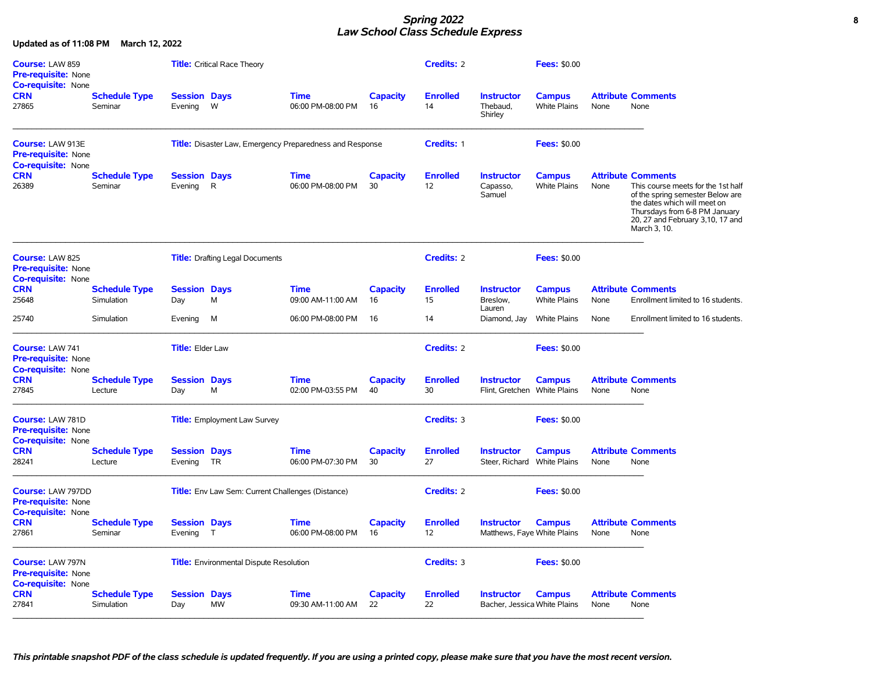### *Spring 2022* **8** *Law School Class Schedule Express*

| Course: LAW 859<br><b>Pre-requisite: None</b><br><b>Co-requisite: None</b>          |                                    |                                  | <b>Title:</b> Critical Race Theory                              |                                  |                       | <b>Credits: 2</b>     |                                                   | <b>Fees: \$0.00</b>                  |      |                                                                                                                                                                                                                           |
|-------------------------------------------------------------------------------------|------------------------------------|----------------------------------|-----------------------------------------------------------------|----------------------------------|-----------------------|-----------------------|---------------------------------------------------|--------------------------------------|------|---------------------------------------------------------------------------------------------------------------------------------------------------------------------------------------------------------------------------|
| <b>CRN</b><br>27865                                                                 | <b>Schedule Type</b><br>Seminar    | <b>Session Days</b><br>Evening   | W                                                               | <b>Time</b><br>06:00 PM-08:00 PM | <b>Capacity</b><br>16 | <b>Enrolled</b><br>14 | <b>Instructor</b><br>Thebaud.<br>Shirley          | <b>Campus</b><br><b>White Plains</b> | None | <b>Attribute Comments</b><br>None                                                                                                                                                                                         |
| Course: LAW 913E<br><b>Pre-requisite: None</b><br><b>Co-requisite: None</b>         |                                    |                                  | <b>Title:</b> Disaster Law, Emergency Preparedness and Response |                                  |                       | Credits: 1            |                                                   | <b>Fees: \$0.00</b>                  |      |                                                                                                                                                                                                                           |
| <b>CRN</b><br>26389                                                                 | <b>Schedule Type</b><br>Seminar    | <b>Session Days</b><br>Evening   | $\mathsf{R}$                                                    | <b>Time</b><br>06:00 PM-08:00 PM | <b>Capacity</b><br>30 | <b>Enrolled</b><br>12 | <b>Instructor</b><br>Capasso,<br>Samuel           | <b>Campus</b><br><b>White Plains</b> | None | <b>Attribute Comments</b><br>This course meets for the 1st half<br>of the spring semester Below are<br>the dates which will meet on<br>Thursdays from 6-8 PM January<br>20, 27 and February 3, 10, 17 and<br>March 3, 10. |
| Course: LAW 825<br><b>Pre-requisite: None</b><br><b>Co-requisite: None</b>          |                                    |                                  | <b>Title:</b> Drafting Legal Documents                          |                                  |                       | Credits: 2            |                                                   | <b>Fees: \$0.00</b>                  |      |                                                                                                                                                                                                                           |
| <b>CRN</b><br>25648                                                                 | <b>Schedule Type</b><br>Simulation | <b>Session Days</b><br>Day       | M                                                               | <b>Time</b><br>09:00 AM-11:00 AM | <b>Capacity</b><br>16 | <b>Enrolled</b><br>15 | <b>Instructor</b><br>Breslow.                     | <b>Campus</b><br><b>White Plains</b> | None | <b>Attribute Comments</b><br>Enrollment limited to 16 students.                                                                                                                                                           |
| 25740                                                                               | Simulation                         | Evening                          | м                                                               | 06:00 PM-08:00 PM                | 16                    | 14                    | Lauren<br>Diamond, Jay                            | <b>White Plains</b>                  | None | Enrollment limited to 16 students.                                                                                                                                                                                        |
| Course: LAW 741<br><b>Pre-requisite: None</b><br><b>Co-requisite: None</b>          |                                    | <b>Title: Elder Law</b>          |                                                                 |                                  |                       | <b>Credits: 2</b>     |                                                   | <b>Fees: \$0.00</b>                  |      |                                                                                                                                                                                                                           |
| <b>CRN</b><br>27845                                                                 | <b>Schedule Type</b><br>Lecture    | <b>Session Days</b><br>Day       | M                                                               | <b>Time</b><br>02:00 PM-03:55 PM | <b>Capacity</b><br>40 | <b>Enrolled</b><br>30 | <b>Instructor</b><br>Flint, Gretchen White Plains | <b>Campus</b>                        | None | <b>Attribute Comments</b><br>None                                                                                                                                                                                         |
| Course: LAW 781D<br><b>Pre-requisite: None</b><br><b>Co-requisite: None</b>         |                                    |                                  | <b>Title:</b> Employment Law Survey                             |                                  |                       | Credits: 3            |                                                   | <b>Fees: \$0.00</b>                  |      |                                                                                                                                                                                                                           |
| <b>CRN</b><br>28241                                                                 | <b>Schedule Type</b><br>Lecture    | <b>Session Days</b><br>Evening   | TR                                                              | <b>Time</b><br>06:00 PM-07:30 PM | <b>Capacity</b><br>30 | <b>Enrolled</b><br>27 | <b>Instructor</b><br>Steer, Richard White Plains  | <b>Campus</b>                        | None | <b>Attribute Comments</b><br>None                                                                                                                                                                                         |
| <b>Course: LAW 797DD</b><br><b>Pre-requisite: None</b><br><b>Co-requisite: None</b> |                                    |                                  | Title: Env Law Sem: Current Challenges (Distance)               |                                  |                       | <b>Credits: 2</b>     |                                                   | <b>Fees: \$0.00</b>                  |      |                                                                                                                                                                                                                           |
| <b>CRN</b><br>27861                                                                 | <b>Schedule Type</b><br>Seminar    | <b>Session Days</b><br>Evening T |                                                                 | <b>Time</b><br>06:00 PM-08:00 PM | <b>Capacity</b><br>16 | <b>Enrolled</b><br>12 | <b>Instructor</b><br>Matthews, Faye White Plains  | <b>Campus</b>                        | None | <b>Attribute Comments</b><br>None                                                                                                                                                                                         |
| Course: LAW 797N<br><b>Pre-requisite: None</b><br><b>Co-requisite: None</b>         |                                    |                                  | <b>Title:</b> Environmental Dispute Resolution                  |                                  |                       | Credits: 3            |                                                   | <b>Fees: \$0.00</b>                  |      |                                                                                                                                                                                                                           |
| <b>CRN</b><br>27841                                                                 | <b>Schedule Type</b><br>Simulation | <b>Session Days</b><br>Day       | <b>MW</b>                                                       | <b>Time</b><br>09:30 AM-11:00 AM | <b>Capacity</b><br>22 | <b>Enrolled</b><br>22 | <b>Instructor</b><br>Bacher, Jessica White Plains | <b>Campus</b>                        | None | <b>Attribute Comments</b><br>None                                                                                                                                                                                         |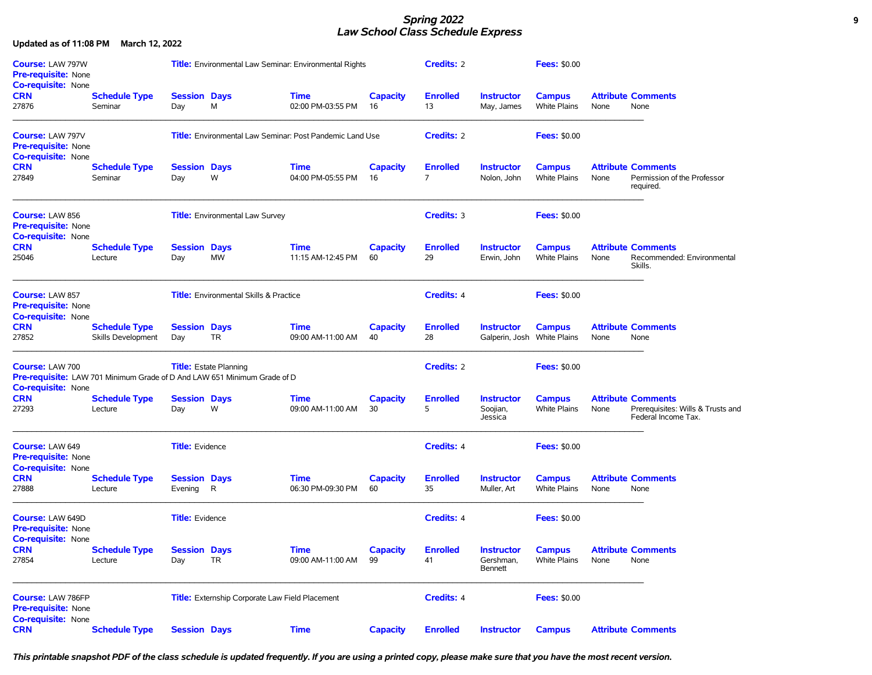### *Spring 2022* **9** *Law School Class Schedule Express*

**Updated as of 11:08 PM March 12, 2022**

| <b>Course: LAW 797W</b><br><b>Pre-requisite: None</b><br><b>Co-requisite: None</b><br><b>CRN</b><br><b>Schedule Type</b> |                                            | <b>Title:</b> Environmental Law Seminar: Environmental Rights |                                                                                                                  |                                  | <b>Credits: 2</b>     |                                   | <b>Fees: \$0.00</b>                              |                                      |      |                                                                                       |
|--------------------------------------------------------------------------------------------------------------------------|--------------------------------------------|---------------------------------------------------------------|------------------------------------------------------------------------------------------------------------------|----------------------------------|-----------------------|-----------------------------------|--------------------------------------------------|--------------------------------------|------|---------------------------------------------------------------------------------------|
| 27876                                                                                                                    | Seminar                                    | <b>Session Days</b><br>Day                                    | М                                                                                                                | <b>Time</b><br>02:00 PM-03:55 PM | <b>Capacity</b><br>16 | <b>Enrolled</b><br>13             | <b>Instructor</b><br>May, James                  | <b>Campus</b><br><b>White Plains</b> | None | <b>Attribute Comments</b><br>None                                                     |
| <b>Course: LAW 797V</b><br><b>Pre-requisite: None</b><br><b>Co-requisite: None</b>                                       |                                            |                                                               | <b>Title:</b> Environmental Law Seminar: Post Pandemic Land Use                                                  |                                  |                       | <b>Credits: 2</b>                 |                                                  | <b>Fees: \$0.00</b>                  |      |                                                                                       |
| <b>CRN</b><br>27849                                                                                                      | <b>Schedule Type</b><br>Seminar            | <b>Session Days</b><br>Day                                    | W                                                                                                                | <b>Time</b><br>04:00 PM-05:55 PM | Capacity<br>16        | <b>Enrolled</b><br>$\overline{7}$ | <b>Instructor</b><br>Nolon, John                 | <b>Campus</b><br><b>White Plains</b> | None | <b>Attribute Comments</b><br>Permission of the Professor<br>required.                 |
| <b>Course: LAW 856</b><br>Pre-requisite: None<br><b>Co-requisite: None</b>                                               |                                            |                                                               | <b>Title:</b> Environmental Law Survey                                                                           |                                  |                       | Credits: 3                        |                                                  | <b>Fees: \$0.00</b>                  |      |                                                                                       |
| <b>CRN</b><br>25046                                                                                                      | <b>Schedule Type</b><br>Lecture            | <b>Session Days</b><br>Day                                    | <b>MW</b>                                                                                                        | <b>Time</b><br>11:15 AM-12:45 PM | <b>Capacity</b><br>60 | <b>Enrolled</b><br>29             | <b>Instructor</b><br>Erwin, John                 | <b>Campus</b><br><b>White Plains</b> | None | <b>Attribute Comments</b><br>Recommended: Environmental<br>Skills.                    |
| <b>Course: LAW 857</b><br><b>Pre-requisite: None</b><br><b>Co-requisite: None</b>                                        |                                            |                                                               | <b>Title:</b> Environmental Skills & Practice                                                                    |                                  |                       | <b>Credits: 4</b>                 |                                                  | <b>Fees: \$0.00</b>                  |      |                                                                                       |
| <b>CRN</b><br>27852                                                                                                      | <b>Schedule Type</b><br>Skills Development | <b>Session Days</b><br>Day                                    | <b>TR</b>                                                                                                        | <b>Time</b><br>09:00 AM-11:00 AM | <b>Capacity</b><br>40 | <b>Enrolled</b><br>28             | <b>Instructor</b><br>Galperin, Josh White Plains | <b>Campus</b>                        | None | <b>Attribute Comments</b><br>None                                                     |
| Course: LAW 700<br>Co-requisite: None                                                                                    |                                            |                                                               | <b>Title:</b> Estate Planning<br><b>Pre-requisite:</b> LAW 701 Minimum Grade of D And LAW 651 Minimum Grade of D |                                  |                       | <b>Credits: 2</b>                 |                                                  | <b>Fees: \$0.00</b>                  |      |                                                                                       |
| <b>CRN</b><br>27293                                                                                                      | <b>Schedule Type</b><br>Lecture            | <b>Session Days</b><br>Day                                    | W                                                                                                                | <b>Time</b><br>09:00 AM-11:00 AM | <b>Capacity</b><br>30 | <b>Enrolled</b><br>5              | <b>Instructor</b><br>Soojian,<br>Jessica         | <b>Campus</b><br><b>White Plains</b> | None | <b>Attribute Comments</b><br>Prerequisites: Wills & Trusts and<br>Federal Income Tax. |
| Course: LAW 649<br><b>Pre-requisite: None</b><br><b>Co-requisite: None</b>                                               |                                            | <b>Title:</b> Evidence                                        |                                                                                                                  |                                  |                       | <b>Credits: 4</b>                 |                                                  | <b>Fees: \$0.00</b>                  |      |                                                                                       |
| <b>CRN</b><br>27888                                                                                                      | <b>Schedule Type</b><br>Lecture            | <b>Session Days</b><br>Evening                                | R                                                                                                                | <b>Time</b><br>06:30 PM-09:30 PM | <b>Capacity</b><br>60 | <b>Enrolled</b><br>35             | <b>Instructor</b><br>Muller, Art                 | <b>Campus</b><br><b>White Plains</b> | None | <b>Attribute Comments</b><br>None                                                     |
| Course: LAW 649D<br><b>Pre-requisite: None</b><br><b>Co-requisite: None</b>                                              |                                            | <b>Title:</b> Evidence                                        |                                                                                                                  |                                  |                       | <b>Credits: 4</b>                 |                                                  | <b>Fees: \$0.00</b>                  |      |                                                                                       |
| <b>CRN</b><br>27854                                                                                                      | <b>Schedule Type</b><br>Lecture            | <b>Session Days</b><br>Day                                    | TR                                                                                                               | <b>Time</b><br>09:00 AM-11:00 AM | <b>Capacity</b><br>99 | <b>Enrolled</b><br>41             | <b>Instructor</b><br>Gershman,<br><b>Bennett</b> | <b>Campus</b><br>White Plains        | None | <b>Attribute Comments</b><br>None                                                     |
| <b>Course: LAW 786FP</b><br>Pre-requisite: None<br>Co-requisite: None                                                    |                                            |                                                               | Title: Externship Corporate Law Field Placement                                                                  |                                  |                       | Credits: 4                        |                                                  | <b>Fees: \$0.00</b>                  |      |                                                                                       |
| <b>CRN</b>                                                                                                               | <b>Schedule Type</b>                       | <b>Session Days</b>                                           |                                                                                                                  | <b>Time</b>                      | Capacity              | <b>Enrolled</b>                   | <b>Instructor</b>                                | <b>Campus</b>                        |      | <b>Attribute Comments</b>                                                             |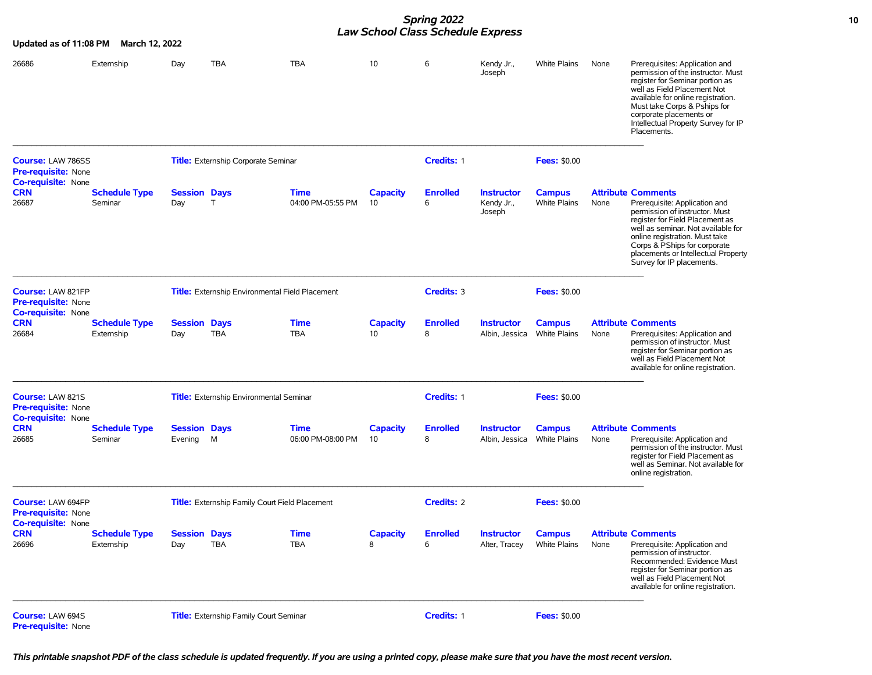## *Spring 2022* **10** *Law School Class Schedule Express*

| Updated as of 11:08 PM                                                       | March 12, 2022                     |                                |                                                        |                                  |                       |                      |                                           |                                      |      |                                                                                                                                                                                                                                                                                                             |
|------------------------------------------------------------------------------|------------------------------------|--------------------------------|--------------------------------------------------------|----------------------------------|-----------------------|----------------------|-------------------------------------------|--------------------------------------|------|-------------------------------------------------------------------------------------------------------------------------------------------------------------------------------------------------------------------------------------------------------------------------------------------------------------|
| 26686                                                                        | Externship                         | Day                            | TBA                                                    | <b>TBA</b>                       | 10                    | 6                    | Kendy Jr.,<br>Joseph                      | <b>White Plains</b>                  | None | Prerequisites: Application and<br>permission of the instructor. Must<br>register for Seminar portion as<br>well as Field Placement Not<br>available for online registration.<br>Must take Corps & Pships for<br>corporate placements or<br>Intellectual Property Survey for IP<br>Placements.               |
| <b>Course: LAW 786SS</b><br><b>Pre-requisite: None</b>                       |                                    |                                | <b>Title:</b> Externship Corporate Seminar             |                                  |                       | Credits: 1           |                                           | <b>Fees: \$0.00</b>                  |      |                                                                                                                                                                                                                                                                                                             |
| <b>Co-requisite: None</b><br><b>CRN</b><br>26687                             | <b>Schedule Type</b><br>Seminar    | <b>Session Days</b><br>Day     | T                                                      | <b>Time</b><br>04:00 PM-05:55 PM | Capacity<br>10        | <b>Enrolled</b><br>6 | <b>Instructor</b><br>Kendy Jr.,<br>Joseph | <b>Campus</b><br><b>White Plains</b> | None | <b>Attribute Comments</b><br>Prerequisite: Application and<br>permission of instructor. Must<br>register for Field Placement as<br>well as seminar. Not available for<br>online registration. Must take<br>Corps & PShips for corporate<br>placements or Intellectual Property<br>Survey for IP placements. |
| Course: LAW 821FP<br><b>Pre-requisite: None</b><br><b>Co-requisite: None</b> |                                    |                                | <b>Title:</b> Externship Environmental Field Placement |                                  |                       | Credits: 3           |                                           | <b>Fees: \$0.00</b>                  |      |                                                                                                                                                                                                                                                                                                             |
| <b>CRN</b><br>26684                                                          | <b>Schedule Type</b><br>Externship | <b>Session Days</b><br>Day     | <b>TBA</b>                                             | <b>Time</b><br><b>TBA</b>        | <b>Capacity</b><br>10 | <b>Enrolled</b><br>8 | <b>Instructor</b><br>Albin, Jessica       | <b>Campus</b><br><b>White Plains</b> | None | <b>Attribute Comments</b><br>Prerequisites: Application and<br>permission of instructor. Must<br>register for Seminar portion as<br>well as Field Placement Not<br>available for online registration.                                                                                                       |
| Course: LAW 821S<br><b>Pre-requisite: None</b><br><b>Co-requisite: None</b>  |                                    |                                | <b>Title:</b> Externship Environmental Seminar         |                                  |                       | Credits: 1           |                                           | <b>Fees: \$0.00</b>                  |      |                                                                                                                                                                                                                                                                                                             |
| <b>CRN</b><br>26685                                                          | <b>Schedule Type</b><br>Seminar    | <b>Session Days</b><br>Evening | M                                                      | <b>Time</b><br>06:00 PM-08:00 PM | <b>Capacity</b><br>10 | <b>Enrolled</b><br>8 | <b>Instructor</b><br>Albin, Jessica       | <b>Campus</b><br><b>White Plains</b> | None | <b>Attribute Comments</b><br>Prerequisite: Application and<br>permission of the instructor. Must<br>register for Field Placement as<br>well as Seminar. Not available for<br>online registration.                                                                                                           |
| Course: LAW 694FP<br><b>Pre-requisite: None</b><br><b>Co-requisite: None</b> |                                    |                                | <b>Title:</b> Externship Family Court Field Placement  |                                  |                       | <b>Credits: 2</b>    |                                           | <b>Fees: \$0.00</b>                  |      |                                                                                                                                                                                                                                                                                                             |
| <b>CRN</b><br>26696                                                          | <b>Schedule Type</b><br>Externship | <b>Session Days</b><br>Day     | TBA                                                    | <b>Time</b><br><b>TBA</b>        | <b>Capacity</b><br>8  | <b>Enrolled</b><br>6 | <b>Instructor</b><br>Alter, Tracey        | <b>Campus</b><br><b>White Plains</b> | None | <b>Attribute Comments</b><br>Prerequisite: Application and<br>permission of instructor.<br>Recommended: Evidence Must<br>register for Seminar portion as<br>well as Field Placement Not<br>available for online registration.                                                                               |
| Course: LAW 694S<br>Pre-requisite: None                                      |                                    |                                | <b>Title:</b> Externship Family Court Seminar          |                                  |                       | Credits: 1           |                                           | <b>Fees: \$0.00</b>                  |      |                                                                                                                                                                                                                                                                                                             |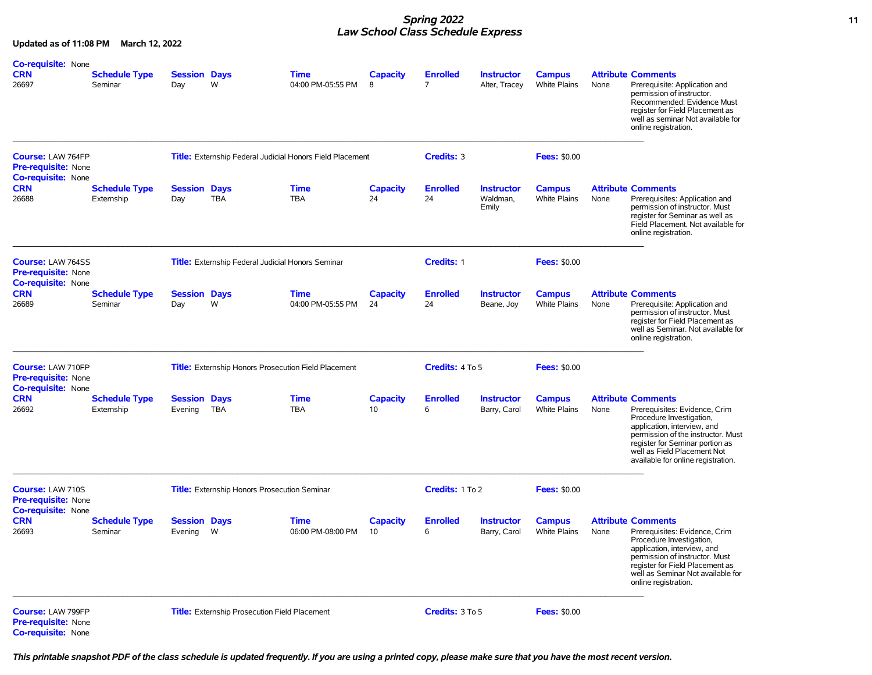# *Spring 2022* **11** *Law School Class Schedule Express*

**Updated as of 11:08 PM March 12, 2022**

| <b>Co-requisite: None</b><br><b>CRN</b><br>26697                                    | <b>Schedule Type</b><br>Seminar    | <b>Session Days</b><br>Day     | W                                                        | <b>Time</b><br>04:00 PM-05:55 PM                                 | <b>Capacity</b><br>8  | <b>Enrolled</b><br>7  | <b>Instructor</b><br>Alter, Tracey     | <b>Campus</b><br>White Plains        | None | <b>Attribute Comments</b><br>Prerequisite: Application and<br>permission of instructor.<br>Recommended: Evidence Must<br>register for Field Placement as<br>well as seminar Not available for<br>online registration.                                               |
|-------------------------------------------------------------------------------------|------------------------------------|--------------------------------|----------------------------------------------------------|------------------------------------------------------------------|-----------------------|-----------------------|----------------------------------------|--------------------------------------|------|---------------------------------------------------------------------------------------------------------------------------------------------------------------------------------------------------------------------------------------------------------------------|
| Course: LAW 764FP<br><b>Pre-requisite: None</b><br><b>Co-requisite: None</b>        |                                    |                                |                                                          | <b>Title:</b> Externship Federal Judicial Honors Field Placement |                       | Credits: 3            |                                        | <b>Fees: \$0.00</b>                  |      |                                                                                                                                                                                                                                                                     |
| <b>CRN</b><br>26688                                                                 | <b>Schedule Type</b><br>Externship | <b>Session Days</b><br>Day     | <b>TBA</b>                                               | <b>Time</b><br><b>TBA</b>                                        | <b>Capacity</b><br>24 | <b>Enrolled</b><br>24 | <b>Instructor</b><br>Waldman.<br>Emily | <b>Campus</b><br>White Plains        | None | <b>Attribute Comments</b><br>Prerequisites: Application and<br>permission of instructor. Must<br>register for Seminar as well as<br>Field Placement. Not available for<br>online registration.                                                                      |
| <b>Course: LAW 764SS</b><br><b>Pre-requisite: None</b><br><b>Co-requisite: None</b> |                                    |                                | <b>Title:</b> Externship Federal Judicial Honors Seminar |                                                                  |                       | Credits: 1            |                                        | <b>Fees: \$0.00</b>                  |      |                                                                                                                                                                                                                                                                     |
| <b>CRN</b><br>26689                                                                 | <b>Schedule Type</b><br>Seminar    | <b>Session Days</b><br>Day     | W                                                        | <b>Time</b><br>04:00 PM-05:55 PM                                 | <b>Capacity</b><br>24 | <b>Enrolled</b><br>24 | <b>Instructor</b><br>Beane, Joy        | <b>Campus</b><br>White Plains        | None | <b>Attribute Comments</b><br>Prerequisite: Application and<br>permission of instructor. Must<br>register for Field Placement as<br>well as Seminar. Not available for<br>online registration.                                                                       |
| Course: LAW 710FP<br><b>Pre-requisite: None</b><br><b>Co-requisite: None</b>        |                                    |                                |                                                          | Title: Externship Honors Prosecution Field Placement             |                       | Credits: 4 To 5       |                                        | <b>Fees: \$0.00</b>                  |      |                                                                                                                                                                                                                                                                     |
| <b>CRN</b><br>26692                                                                 | <b>Schedule Type</b><br>Externship | <b>Session Days</b><br>Evening | <b>TBA</b>                                               | <b>Time</b><br><b>TBA</b>                                        | <b>Capacity</b><br>10 | <b>Enrolled</b><br>6  | <b>Instructor</b><br>Barry, Carol      | <b>Campus</b><br><b>White Plains</b> | None | <b>Attribute Comments</b><br>Prerequisites: Evidence, Crim<br>Procedure Investigation,<br>application, interview, and<br>permission of the instructor. Must<br>register for Seminar portion as<br>well as Field Placement Not<br>available for online registration. |
| Course: LAW 710S<br><b>Pre-requisite: None</b><br><b>Co-requisite: None</b>         |                                    |                                | Title: Externship Honors Prosecution Seminar             |                                                                  |                       | Credits: 1 To 2       |                                        | <b>Fees: \$0.00</b>                  |      |                                                                                                                                                                                                                                                                     |
| <b>CRN</b><br>26693                                                                 | <b>Schedule Type</b><br>Seminar    | <b>Session Days</b><br>Evening | W                                                        | <b>Time</b><br>06:00 PM-08:00 PM                                 | <b>Capacity</b><br>10 | <b>Enrolled</b><br>6  | <b>Instructor</b><br>Barry, Carol      | <b>Campus</b><br><b>White Plains</b> | None | <b>Attribute Comments</b><br>Prerequisites: Evidence, Crim<br>Procedure Investigation,<br>application, interview, and<br>permission of instructor. Must<br>register for Field Placement as<br>well as Seminar Not available for<br>online registration.             |
| Course: LAW 799FP<br><b>Pre-requisite: None</b><br><b>Co-requisite: None</b>        |                                    |                                | <b>Title:</b> Externship Prosecution Field Placement     |                                                                  |                       | Credits: 3 To 5       |                                        | <b>Fees: \$0.00</b>                  |      |                                                                                                                                                                                                                                                                     |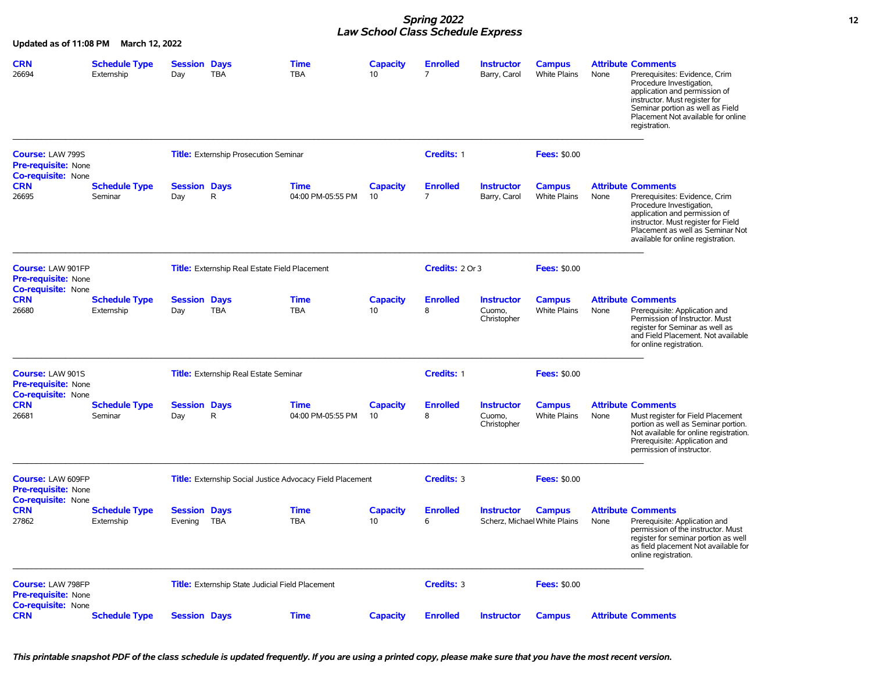## *Spring 2022* **12** *Law School Class Schedule Express*

**Updated as of 11:08 PM March 12, 2022**

| <b>CRN</b><br>26694                                                          | <b>Schedule Type</b><br>Externship | <b>Session Days</b><br>Day     | <b>TBA</b>                                           | <b>Time</b><br><b>TBA</b>                                        | <b>Capacity</b><br>10 | <b>Enrolled</b><br>$\overline{7}$ | <b>Instructor</b><br>Barry, Carol                 | <b>Campus</b><br>White Plains | None | <b>Attribute Comments</b><br>Prerequisites: Evidence, Crim<br>Procedure Investigation,<br>application and permission of<br>instructor. Must register for<br>Seminar portion as well as Field<br>Placement Not available for online<br>registration. |
|------------------------------------------------------------------------------|------------------------------------|--------------------------------|------------------------------------------------------|------------------------------------------------------------------|-----------------------|-----------------------------------|---------------------------------------------------|-------------------------------|------|-----------------------------------------------------------------------------------------------------------------------------------------------------------------------------------------------------------------------------------------------------|
| Course: LAW 799S<br><b>Pre-requisite: None</b>                               |                                    |                                | <b>Title:</b> Externship Prosecution Seminar         |                                                                  |                       | Credits: 1                        |                                                   | <b>Fees: \$0.00</b>           |      |                                                                                                                                                                                                                                                     |
| <b>Co-requisite: None</b><br><b>CRN</b><br>26695                             | <b>Schedule Type</b><br>Seminar    | <b>Session Days</b><br>Day     | R                                                    | <b>Time</b><br>04:00 PM-05:55 PM                                 | <b>Capacity</b><br>10 | <b>Enrolled</b><br>$\overline{7}$ | <b>Instructor</b><br>Barry, Carol                 | <b>Campus</b><br>White Plains | None | <b>Attribute Comments</b><br>Prerequisites: Evidence, Crim<br>Procedure Investigation,<br>application and permission of<br>instructor. Must register for Field<br>Placement as well as Seminar Not<br>available for online registration.            |
| Course: LAW 901FP<br><b>Pre-requisite: None</b>                              |                                    |                                | <b>Title:</b> Externship Real Estate Field Placement |                                                                  |                       | Credits: 2 Or 3                   |                                                   | <b>Fees: \$0.00</b>           |      |                                                                                                                                                                                                                                                     |
| <b>Co-requisite: None</b><br><b>CRN</b><br>26680                             | <b>Schedule Type</b><br>Externship | <b>Session Days</b><br>Day     | <b>TBA</b>                                           | <b>Time</b><br><b>TBA</b>                                        | <b>Capacity</b><br>10 | <b>Enrolled</b><br>8              | <b>Instructor</b><br>Cuomo.<br>Christopher        | <b>Campus</b><br>White Plains | None | <b>Attribute Comments</b><br>Prerequisite: Application and<br>Permission of Instructor. Must<br>register for Seminar as well as<br>and Field Placement. Not available<br>for online registration.                                                   |
| Course: LAW 901S<br><b>Pre-requisite: None</b><br><b>Co-requisite: None</b>  |                                    |                                | <b>Title:</b> Externship Real Estate Seminar         |                                                                  |                       | Credits: 1                        |                                                   | <b>Fees: \$0.00</b>           |      |                                                                                                                                                                                                                                                     |
| <b>CRN</b><br>26681                                                          | <b>Schedule Type</b><br>Seminar    | <b>Session Days</b><br>Day     | R                                                    | <b>Time</b><br>04:00 PM-05:55 PM                                 | <b>Capacity</b><br>10 | <b>Enrolled</b><br>8              | <b>Instructor</b><br>Cuomo,<br>Christopher        | <b>Campus</b><br>White Plains | None | <b>Attribute Comments</b><br>Must register for Field Placement<br>portion as well as Seminar portion.<br>Not available for online registration.<br>Prerequisite: Application and<br>permission of instructor.                                       |
| Course: LAW 609FP<br><b>Pre-requisite: None</b><br><b>Co-requisite: None</b> |                                    |                                |                                                      | <b>Title:</b> Externship Social Justice Advocacy Field Placement |                       | Credits: 3                        |                                                   | <b>Fees: \$0.00</b>           |      |                                                                                                                                                                                                                                                     |
| <b>CRN</b><br>27862                                                          | <b>Schedule Type</b><br>Externship | <b>Session Days</b><br>Evening | <b>TBA</b>                                           | <b>Time</b><br><b>TBA</b>                                        | <b>Capacity</b><br>10 | <b>Enrolled</b><br>6              | <b>Instructor</b><br>Scherz, Michael White Plains | <b>Campus</b>                 | None | <b>Attribute Comments</b><br>Prerequisite: Application and<br>permission of the instructor. Must<br>register for seminar portion as well<br>as field placement Not available for<br>online registration.                                            |
| Course: LAW 798FP<br><b>Pre-requisite: None</b>                              |                                    |                                | Title: Externship State Judicial Field Placement     |                                                                  |                       | Credits: 3                        |                                                   | <b>Fees: \$0.00</b>           |      |                                                                                                                                                                                                                                                     |
| <b>Co-requisite: None</b><br><b>CRN</b>                                      | <b>Schedule Type</b>               | <b>Session Days</b>            |                                                      | <b>Time</b>                                                      | <b>Capacity</b>       | <b>Enrolled</b>                   | <b>Instructor</b>                                 | <b>Campus</b>                 |      | <b>Attribute Comments</b>                                                                                                                                                                                                                           |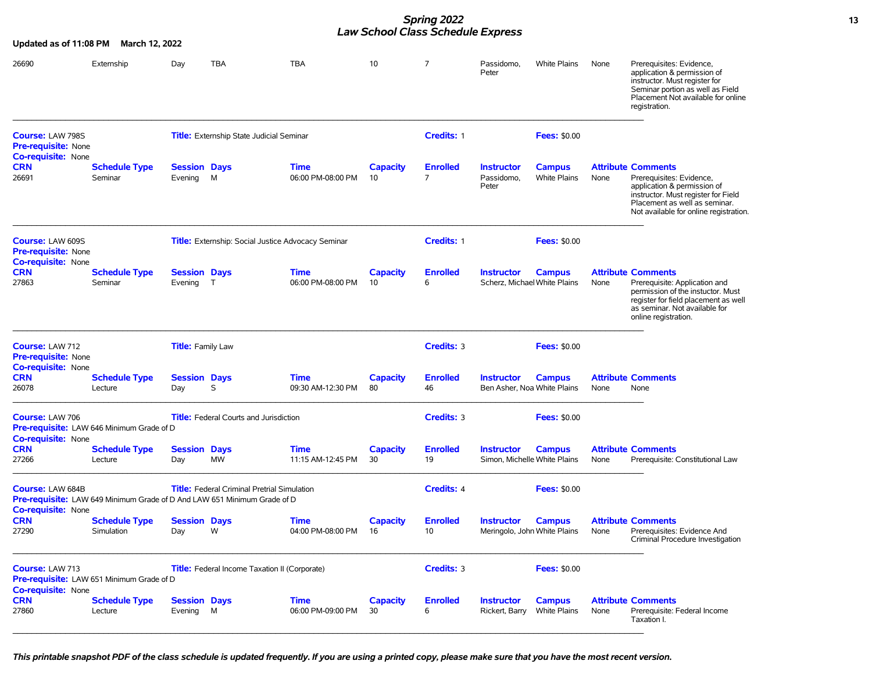### **Spring 2022 13** *Law School Class Schedule Express*

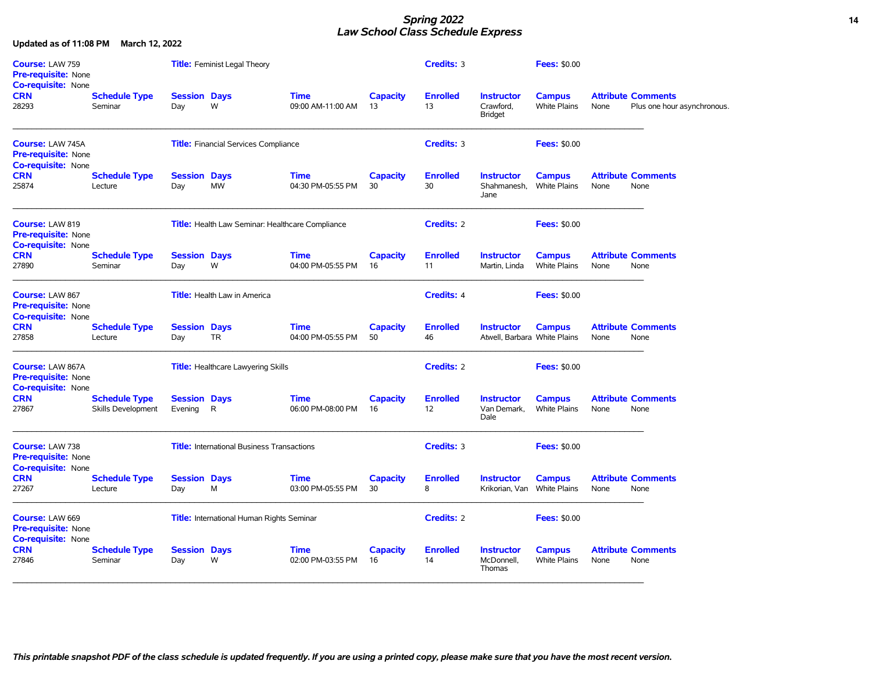### *Spring 2022* **14** *Law School Class Schedule Express*

| Course: LAW 759<br>Pre-requisite: None<br><b>Co-requisite: None</b>                |                                                   |                                | <b>Title:</b> Feminist Legal Theory               |                                                         |                       | Credits: 3            |                                                   | <b>Fees: \$0.00</b>                  |      |                                                          |
|------------------------------------------------------------------------------------|---------------------------------------------------|--------------------------------|---------------------------------------------------|---------------------------------------------------------|-----------------------|-----------------------|---------------------------------------------------|--------------------------------------|------|----------------------------------------------------------|
| <b>CRN</b><br>28293                                                                | <b>Schedule Type</b><br>Seminar                   | <b>Session Days</b><br>Day     | W                                                 | <b>Time</b><br>09:00 AM-11:00 AM                        | <b>Capacity</b><br>13 | <b>Enrolled</b><br>13 | <b>Instructor</b><br>Crawford,<br><b>Bridget</b>  | <b>Campus</b><br><b>White Plains</b> | None | <b>Attribute Comments</b><br>Plus one hour asynchronous. |
| <b>Course: LAW 745A</b><br>Pre-requisite: None<br><b>Co-requisite: None</b>        |                                                   |                                | <b>Title:</b> Financial Services Compliance       |                                                         |                       | Credits: 3            |                                                   | <b>Fees: \$0.00</b>                  |      |                                                          |
| <b>CRN</b><br>25874                                                                | <b>Schedule Type</b><br>Lecture                   | <b>Session Days</b><br>Day     | <b>MW</b>                                         | <b>Time</b><br>04:30 PM-05:55 PM                        | <b>Capacity</b><br>30 | <b>Enrolled</b><br>30 | <b>Instructor</b><br>Shahmanesh,<br>Jane          | <b>Campus</b><br><b>White Plains</b> | None | <b>Attribute Comments</b><br>None                        |
| Course: LAW 819<br>Pre-requisite: None<br><b>Co-requisite: None</b>                |                                                   |                                |                                                   | <b>Title:</b> Health Law Seminar: Healthcare Compliance |                       | <b>Credits: 2</b>     |                                                   | <b>Fees: \$0.00</b>                  |      |                                                          |
| <b>CRN</b><br>27890                                                                | <b>Schedule Type</b><br>Seminar                   | <b>Session Days</b><br>Day     | W                                                 | <b>Time</b><br>04:00 PM-05:55 PM                        | <b>Capacity</b><br>16 | <b>Enrolled</b><br>11 | <b>Instructor</b><br>Martin, Linda                | <b>Campus</b><br><b>White Plains</b> | None | <b>Attribute Comments</b><br>None                        |
| Course: LAW 867<br><b>Pre-requisite: None</b><br><b>Co-requisite: None</b>         |                                                   |                                | <b>Title:</b> Health Law in America               |                                                         |                       | <b>Credits: 4</b>     |                                                   | <b>Fees: \$0.00</b>                  |      |                                                          |
| <b>CRN</b><br>27858                                                                | <b>Schedule Type</b><br>Lecture                   | <b>Session Days</b><br>Day     | <b>TR</b>                                         | <b>Time</b><br>04:00 PM-05:55 PM                        | <b>Capacity</b><br>50 | <b>Enrolled</b><br>46 | <b>Instructor</b><br>Atwell, Barbara White Plains | <b>Campus</b>                        | None | <b>Attribute Comments</b><br>None                        |
| <b>Course: LAW 867A</b><br><b>Pre-requisite: None</b><br><b>Co-requisite: None</b> |                                                   |                                | <b>Title: Healthcare Lawyering Skills</b>         |                                                         |                       | <b>Credits: 2</b>     |                                                   | <b>Fees: \$0.00</b>                  |      |                                                          |
| <b>CRN</b><br>27867                                                                | <b>Schedule Type</b><br><b>Skills Development</b> | <b>Session Days</b><br>Evening | R                                                 | <b>Time</b><br>06:00 PM-08:00 PM                        | <b>Capacity</b><br>16 | <b>Enrolled</b><br>12 | <b>Instructor</b><br>Van Demark,<br>Dale          | <b>Campus</b><br><b>White Plains</b> | None | <b>Attribute Comments</b><br>None                        |
| Course: LAW 738<br>Pre-requisite: None<br><b>Co-requisite: None</b>                |                                                   |                                | <b>Title:</b> International Business Transactions |                                                         |                       | Credits: 3            |                                                   | <b>Fees: \$0.00</b>                  |      |                                                          |
| <b>CRN</b><br>27267                                                                | <b>Schedule Type</b><br>Lecture                   | <b>Session Days</b><br>Day     | M                                                 | <b>Time</b><br>03:00 PM-05:55 PM                        | <b>Capacity</b><br>30 | <b>Enrolled</b><br>8  | <b>Instructor</b><br>Krikorian, Van               | <b>Campus</b><br><b>White Plains</b> | None | <b>Attribute Comments</b><br>None                        |
| Course: LAW 669<br><b>Pre-requisite: None</b>                                      |                                                   |                                | <b>Title:</b> International Human Rights Seminar  |                                                         |                       | <b>Credits: 2</b>     |                                                   | <b>Fees: \$0.00</b>                  |      |                                                          |
| <b>Co-requisite: None</b><br><b>CRN</b><br>27846                                   | <b>Schedule Type</b><br>Seminar                   | <b>Session Days</b><br>Day     | W                                                 | <b>Time</b><br>02:00 PM-03:55 PM                        | <b>Capacity</b><br>16 | <b>Enrolled</b><br>14 | <b>Instructor</b><br>McDonnell,<br>Thomas         | <b>Campus</b><br><b>White Plains</b> | None | <b>Attribute Comments</b><br>None                        |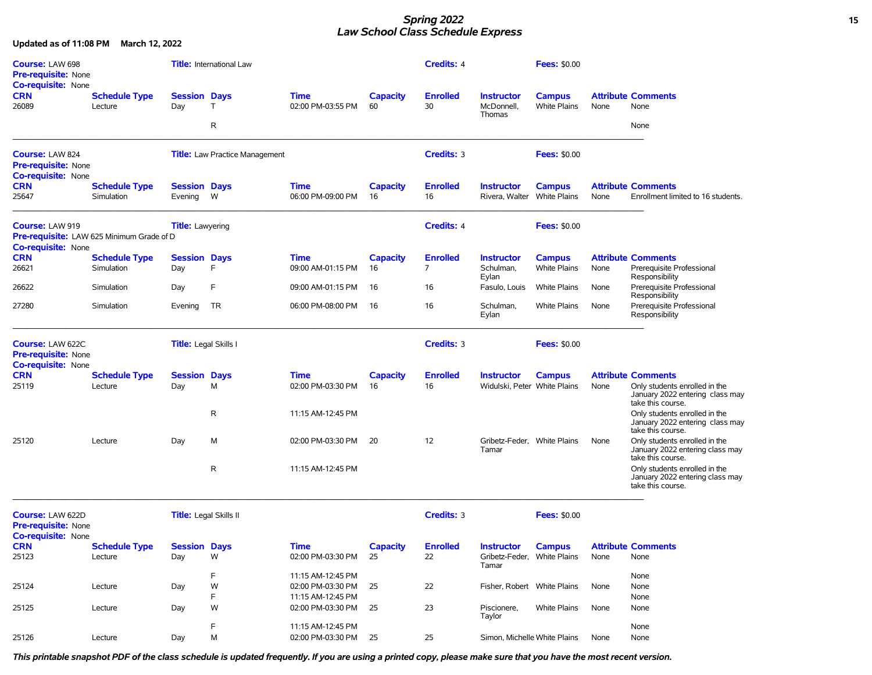### *Spring 2022* **15** *Law School Class Schedule Express*

**Updated as of 11:08 PM March 12, 2022**

| <b>Course: LAW 698</b><br><b>Pre-requisite: None</b><br><b>Co-requisite: None</b>                       |                                    |                                | <b>Title:</b> International Law       |                                        |                       | <b>Credits: 4</b>                 |                                                           | <b>Fees: \$0.00</b>                  |      |                                                                                                                    |
|---------------------------------------------------------------------------------------------------------|------------------------------------|--------------------------------|---------------------------------------|----------------------------------------|-----------------------|-----------------------------------|-----------------------------------------------------------|--------------------------------------|------|--------------------------------------------------------------------------------------------------------------------|
| <b>CRN</b><br>26089                                                                                     | <b>Schedule Type</b><br>Lecture    | <b>Session Days</b><br>Day     | $\top$                                | <b>Time</b><br>02:00 PM-03:55 PM       | <b>Capacity</b><br>60 | <b>Enrolled</b><br>30             | <b>Instructor</b><br>McDonnell,<br>Thomas                 | <b>Campus</b><br><b>White Plains</b> | None | <b>Attribute Comments</b><br>None                                                                                  |
|                                                                                                         |                                    |                                | R                                     |                                        |                       |                                   |                                                           |                                      |      | None                                                                                                               |
| <b>Course: LAW 824</b><br><b>Pre-requisite: None</b><br><b>Co-requisite: None</b>                       |                                    |                                | <b>Title:</b> Law Practice Management |                                        |                       | Credits: 3                        |                                                           | <b>Fees: \$0.00</b>                  |      |                                                                                                                    |
| <b>CRN</b><br>25647                                                                                     | <b>Schedule Type</b><br>Simulation | <b>Session Days</b><br>Evening | W                                     | <b>Time</b><br>06:00 PM-09:00 PM       | <b>Capacity</b><br>16 | <b>Enrolled</b><br>16             | <b>Instructor</b><br>Rivera, Walter                       | <b>Campus</b><br><b>White Plains</b> | None | <b>Attribute Comments</b><br>Enrollment limited to 16 students.                                                    |
| <b>Course: LAW 919</b><br><b>Pre-requisite:</b> LAW 625 Minimum Grade of D<br><b>Co-requisite: None</b> |                                    | <b>Title:</b> Lawyering        |                                       |                                        |                       | Credits: 4                        |                                                           | <b>Fees: \$0.00</b>                  |      |                                                                                                                    |
| <b>CRN</b><br>26621                                                                                     | <b>Schedule Type</b><br>Simulation | <b>Session Days</b><br>Day     | F                                     | <b>Time</b><br>09:00 AM-01:15 PM       | <b>Capacity</b><br>16 | <b>Enrolled</b><br>$\overline{7}$ | <b>Instructor</b><br>Schulman,<br>Eylan                   | <b>Campus</b><br><b>White Plains</b> | None | <b>Attribute Comments</b><br>Prerequisite Professional<br>Responsibility                                           |
| 26622                                                                                                   | Simulation                         | Day                            | F                                     | 09:00 AM-01:15 PM                      | 16                    | 16                                | Fasulo, Louis                                             | <b>White Plains</b>                  | None | Prerequisite Professional<br>Responsibility                                                                        |
| 27280                                                                                                   | Simulation                         | Evening                        | TR                                    | 06:00 PM-08:00 PM                      | 16                    | 16                                | Schulman,<br>Eylan                                        | <b>White Plains</b>                  | None | Prerequisite Professional<br>Responsibility                                                                        |
| <b>Course: LAW 622C</b><br><b>Pre-requisite: None</b><br>Co-requisite: None                             |                                    | Title: Legal Skills I          |                                       |                                        |                       | Credits: 3                        |                                                           | <b>Fees: \$0.00</b>                  |      |                                                                                                                    |
| <b>CRN</b><br>25119                                                                                     | <b>Schedule Type</b><br>Lecture    | <b>Session Days</b><br>Day     | М                                     | <b>Time</b><br>02:00 PM-03:30 PM       | <b>Capacity</b><br>16 | <b>Enrolled</b><br>16             | <b>Instructor</b><br>Widulski, Peter White Plains         | <b>Campus</b>                        | None | <b>Attribute Comments</b><br>Only students enrolled in the<br>January 2022 entering class may<br>take this course. |
|                                                                                                         |                                    |                                | $\mathsf{R}$                          | 11:15 AM-12:45 PM                      |                       |                                   |                                                           |                                      |      | Only students enrolled in the<br>January 2022 entering class may<br>take this course.                              |
| 25120                                                                                                   | Lecture                            | Day                            | М                                     | 02:00 PM-03:30 PM                      | 20                    | 12                                | Gribetz-Feder, White Plains<br>Tamar                      |                                      | None | Only students enrolled in the<br>January 2022 entering class may<br>take this course.                              |
|                                                                                                         |                                    |                                | R                                     | 11:15 AM-12:45 PM                      |                       |                                   |                                                           |                                      |      | Only students enrolled in the<br>January 2022 entering class may<br>take this course.                              |
| Course: LAW 622D<br><b>Pre-requisite: None</b><br><b>Co-requisite: None</b>                             |                                    | Title: Legal Skills II         |                                       |                                        |                       | Credits: 3                        |                                                           | <b>Fees: \$0.00</b>                  |      |                                                                                                                    |
| <b>CRN</b><br>25123                                                                                     | <b>Schedule Type</b><br>Lecture    | <b>Session Days</b><br>Day     | W                                     | <b>Time</b><br>02:00 PM-03:30 PM       | <b>Capacity</b><br>25 | <b>Enrolled</b><br>22             | <b>Instructor</b><br>Gribetz-Feder, White Plains<br>Tamar | <b>Campus</b>                        | None | <b>Attribute Comments</b><br>None                                                                                  |
|                                                                                                         |                                    |                                | F                                     | 11:15 AM-12:45 PM                      |                       |                                   |                                                           |                                      |      | None                                                                                                               |
| 25124                                                                                                   | Lecture                            | Day                            | W<br>F                                | 02:00 PM-03:30 PM<br>11:15 AM-12:45 PM | 25                    | 22                                | Fisher, Robert White Plains                               |                                      | None | None<br>None                                                                                                       |
| 25125                                                                                                   | Lecture                            | Day                            | W                                     | 02:00 PM-03:30 PM                      | 25                    | 23                                | Piscionere,<br>Taylor                                     | White Plains                         | None | None                                                                                                               |
|                                                                                                         |                                    |                                | F                                     | 11:15 AM-12:45 PM                      |                       |                                   |                                                           |                                      |      | None                                                                                                               |
| 25126                                                                                                   | Lecture                            | Day                            | M                                     | 02:00 PM-03:30 PM                      | 25                    | 25                                | Simon, Michelle White Plains                              |                                      | None | None                                                                                                               |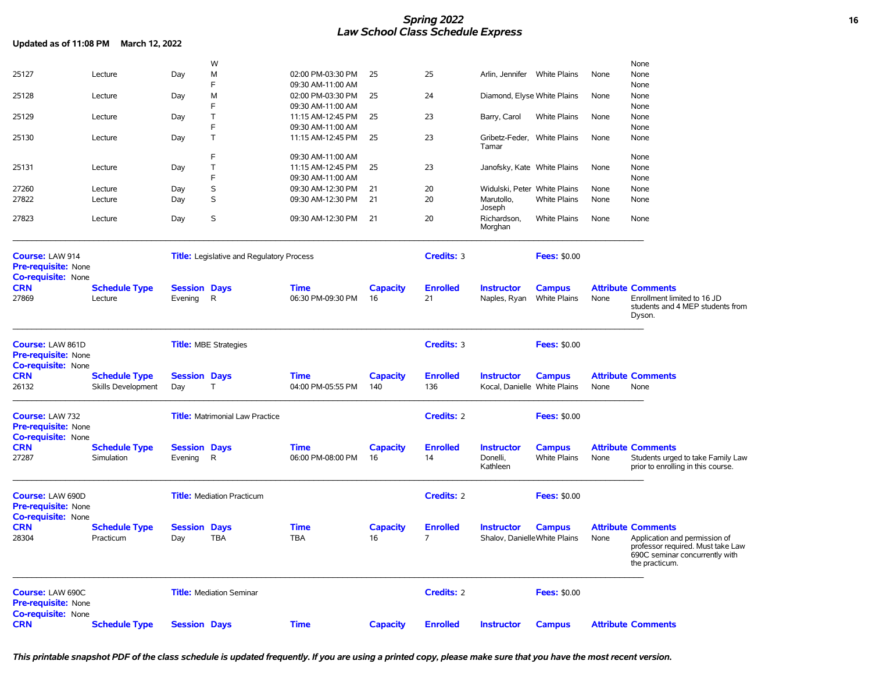## *Spring 2022* **16** *Law School Class Schedule Express*

| Updated as of 11:08 PM March 12, 2022                                              |                                            |                                |                                                  |                                  |                        |                        |                                                   |                                      |      |                                                                                                                        |
|------------------------------------------------------------------------------------|--------------------------------------------|--------------------------------|--------------------------------------------------|----------------------------------|------------------------|------------------------|---------------------------------------------------|--------------------------------------|------|------------------------------------------------------------------------------------------------------------------------|
|                                                                                    |                                            |                                | W                                                |                                  |                        |                        |                                                   |                                      |      | None                                                                                                                   |
| 25127                                                                              | Lecture                                    | Day                            | M                                                | 02:00 PM-03:30 PM                | 25                     | 25                     | Arlin, Jennifer White Plains                      |                                      | None | None                                                                                                                   |
|                                                                                    |                                            |                                | F                                                | 09:30 AM-11:00 AM                |                        |                        |                                                   |                                      |      | None                                                                                                                   |
| 25128                                                                              | Lecture                                    | Day                            | M                                                | 02:00 PM-03:30 PM                | 25                     | 24                     | Diamond, Elyse White Plains                       |                                      | None | None                                                                                                                   |
|                                                                                    |                                            |                                | F                                                | 09:30 AM-11:00 AM                |                        |                        |                                                   |                                      |      | None                                                                                                                   |
| 25129                                                                              | Lecture                                    | Day                            | Τ                                                | 11:15 AM-12:45 PM                | 25                     | 23                     | Barry, Carol                                      | White Plains                         | None | None                                                                                                                   |
|                                                                                    |                                            |                                | F                                                | 09:30 AM-11:00 AM                |                        |                        |                                                   |                                      |      | None                                                                                                                   |
| 25130                                                                              | Lecture                                    | Day                            | T                                                | 11:15 AM-12:45 PM                | 25                     | 23                     | Gribetz-Feder, White Plains<br>Tamar              |                                      | None | None                                                                                                                   |
|                                                                                    |                                            |                                | F                                                | 09:30 AM-11:00 AM                |                        |                        |                                                   |                                      |      | None                                                                                                                   |
| 25131                                                                              | Lecture                                    | Day                            | Τ                                                | 11:15 AM-12:45 PM                | 25                     | 23                     | Janofsky, Kate White Plains                       |                                      | None | None                                                                                                                   |
|                                                                                    |                                            |                                | F                                                | 09:30 AM-11:00 AM                |                        |                        |                                                   |                                      |      | None                                                                                                                   |
| 27260                                                                              | Lecture                                    | Day                            | S                                                | 09:30 AM-12:30 PM                | 21                     | 20                     | Widulski, Peter White Plains                      |                                      | None | None                                                                                                                   |
| 27822                                                                              | Lecture                                    | Day                            | S                                                | 09:30 AM-12:30 PM                | 21                     | 20                     | Marutollo,<br>Joseph                              | <b>White Plains</b>                  | None | None                                                                                                                   |
| 27823                                                                              | Lecture                                    | Day                            | S                                                | 09:30 AM-12:30 PM                | 21                     | 20                     | Richardson,<br>Morghan                            | <b>White Plains</b>                  | None | None                                                                                                                   |
| Course: LAW 914                                                                    |                                            |                                | <b>Title:</b> Legislative and Regulatory Process |                                  |                        | Credits: 3             |                                                   | <b>Fees: \$0.00</b>                  |      |                                                                                                                        |
| Pre-requisite: None                                                                |                                            |                                |                                                  |                                  |                        |                        |                                                   |                                      |      |                                                                                                                        |
| <b>Co-requisite: None</b><br><b>CRN</b><br>27869                                   | <b>Schedule Type</b><br>Lecture            | <b>Session Days</b><br>Evening | $\mathsf{R}$                                     | <b>Time</b><br>06:30 PM-09:30 PM | <b>Capacity</b><br>16  | <b>Enrolled</b><br>21  | <b>Instructor</b><br>Naples, Ryan                 | <b>Campus</b><br><b>White Plains</b> | None | <b>Attribute Comments</b><br>Enrollment limited to 16 JD<br>students and 4 MEP students from<br>Dyson.                 |
| <b>Course: LAW 861D</b><br><b>Pre-requisite: None</b><br>Co-requisite: None        |                                            |                                | <b>Title: MBE Strategies</b>                     |                                  |                        | Credits: 3             |                                                   | <b>Fees: \$0.00</b>                  |      |                                                                                                                        |
| <b>CRN</b><br>26132                                                                | <b>Schedule Type</b><br>Skills Development | <b>Session Days</b><br>Day     | T                                                | <b>Time</b><br>04:00 PM-05:55 PM | <b>Capacity</b><br>140 | <b>Enrolled</b><br>136 | <b>Instructor</b><br>Kocal, Danielle White Plains | <b>Campus</b>                        | None | <b>Attribute Comments</b><br>None                                                                                      |
|                                                                                    |                                            |                                |                                                  |                                  |                        |                        |                                                   |                                      |      |                                                                                                                        |
| Course: LAW 732<br>Pre-requisite: None<br><b>Co-requisite: None</b>                |                                            |                                | <b>Title:</b> Matrimonial Law Practice           |                                  |                        | <b>Credits: 2</b>      |                                                   | <b>Fees: \$0.00</b>                  |      |                                                                                                                        |
| <b>CRN</b><br>27287                                                                | <b>Schedule Type</b><br>Simulation         | <b>Session Days</b><br>Evening | R                                                | <b>Time</b><br>06:00 PM-08:00 PM | <b>Capacity</b><br>16  | <b>Enrolled</b><br>14  | <b>Instructor</b><br>Donelli,<br>Kathleen         | <b>Campus</b><br><b>White Plains</b> | None | <b>Attribute Comments</b><br>Students urged to take Family Law<br>prior to enrolling in this course.                   |
| <b>Course: LAW 690D</b><br><b>Pre-requisite: None</b><br><b>Co-requisite: None</b> |                                            |                                | <b>Title:</b> Mediation Practicum                |                                  |                        | <b>Credits: 2</b>      |                                                   | <b>Fees: \$0.00</b>                  |      |                                                                                                                        |
| <b>CRN</b>                                                                         | <b>Schedule Type</b>                       | <b>Session Days</b>            |                                                  | <b>Time</b>                      | <b>Capacity</b>        | <b>Enrolled</b>        | <b>Instructor</b>                                 | <b>Campus</b>                        |      | <b>Attribute Comments</b>                                                                                              |
| 28304                                                                              | Practicum                                  | Day                            | <b>TBA</b>                                       | <b>TBA</b>                       | 16                     | 7                      | Shalov, DanielleWhite Plains                      |                                      | None | Application and permission of<br>professor required. Must take Law<br>690C seminar concurrently with<br>the practicum. |
| Course: LAW 690C<br>Pre-requisite: None<br><b>Co-requisite: None</b>               |                                            |                                | <b>Title:</b> Mediation Seminar                  |                                  |                        | Credits: 2             |                                                   | <b>Fees: \$0.00</b>                  |      |                                                                                                                        |
| <b>CRN</b>                                                                         | <b>Schedule Type</b>                       | <b>Session Days</b>            |                                                  | <b>Time</b>                      | <b>Capacity</b>        | <b>Enrolled</b>        | <b>Instructor</b>                                 | <b>Campus</b>                        |      | <b>Attribute Comments</b>                                                                                              |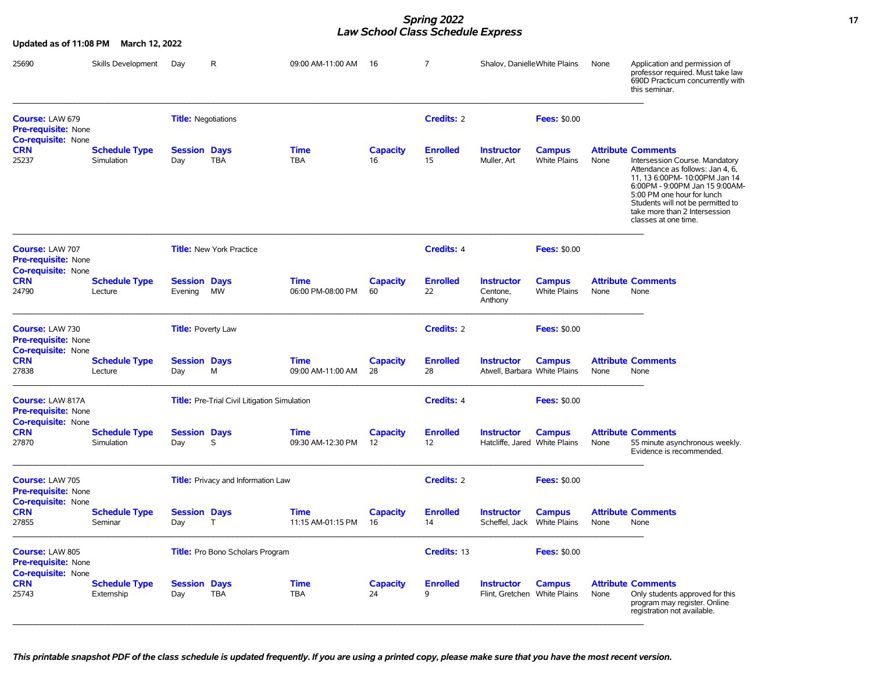### *Spring 2022* **17** *Law School Class Schedule Express*

| Updated as of 11:08 PM                                                     | March 12, 2022                     |                                |                                                     |                                  |                                      |                       |                                                    |                                      |      |                                                                                                                                                                                                                                                                                                |
|----------------------------------------------------------------------------|------------------------------------|--------------------------------|-----------------------------------------------------|----------------------------------|--------------------------------------|-----------------------|----------------------------------------------------|--------------------------------------|------|------------------------------------------------------------------------------------------------------------------------------------------------------------------------------------------------------------------------------------------------------------------------------------------------|
| 25690                                                                      | Skills Development                 | Day                            | R                                                   | 09:00 AM-11:00 AM 16             |                                      | 7                     | Shalov, DanielleWhite Plains                       |                                      | None | Application and permission of<br>professor required. Must take law<br>690D Practicum concurrently with<br>this seminar.                                                                                                                                                                        |
| Course: LAW 679<br>Pre-requisite: None                                     |                                    | <b>Title: Negotiations</b>     |                                                     |                                  |                                      | Credits: 2            |                                                    | <b>Fees: \$0.00</b>                  |      |                                                                                                                                                                                                                                                                                                |
| <b>Co-requisite: None</b><br><b>CRN</b><br>25237                           | <b>Schedule Type</b><br>Simulation | <b>Session Days</b><br>Day     | <b>TBA</b>                                          | <b>Time</b><br><b>TBA</b>        | <b>Capacity</b><br>16                | <b>Enrolled</b><br>15 | <b>Instructor</b><br>Muller, Art                   | <b>Campus</b><br><b>White Plains</b> | None | <b>Attribute Comments</b><br>Intersession Course. Mandatory<br>Attendance as follows: Jan 4, 6,<br>11, 13 6:00PM- 10:00PM Jan 14<br>6:00PM - 9:00PM Jan 15 9:00AM-<br>5:00 PM one hour for lunch<br>Students will not be permitted to<br>take more than 2 Intersession<br>classes at one time. |
| <b>Course: LAW 707</b><br>Pre-requisite: None<br>Co-requisite: None        |                                    |                                | <b>Title:</b> New York Practice                     |                                  |                                      | Credits: 4            |                                                    | <b>Fees: \$0.00</b>                  |      |                                                                                                                                                                                                                                                                                                |
| CRN<br>24790                                                               | Schedule Type<br>Lecture           | <b>Session Days</b><br>Evening | MW                                                  | <b>Time</b><br>06:00 PM-08:00 PM | <b>Capacity</b><br>60                | <b>Enrolled</b><br>22 | <b>Instructor</b><br>Centone,<br>Anthony           | <b>Campus</b><br><b>White Plains</b> | None | <b>Attribute Comments</b><br>None                                                                                                                                                                                                                                                              |
| <b>Course: LAW 730</b><br>Pre-requisite: None<br><b>Co-requisite: None</b> |                                    | <b>Title:</b> Poverty Law      |                                                     |                                  |                                      | Credits: 2            |                                                    | <b>Fees: \$0.00</b>                  |      |                                                                                                                                                                                                                                                                                                |
| CRN<br>27838                                                               | <b>Schedule Type</b><br>Lecture    | <b>Session Days</b><br>Day     | м                                                   | <b>Time</b><br>09:00 AM-11:00 AM | <b>Capacity</b><br>28                | <b>Enrolled</b><br>28 | <b>Instructor</b><br>Atwell, Barbara White Plains  | <b>Campus</b>                        | None | <b>Attribute Comments</b><br>None                                                                                                                                                                                                                                                              |
| <b>Course: LAW 817A</b><br><b>Pre-requisite: None</b>                      |                                    |                                | <b>Title:</b> Pre-Trial Civil Litigation Simulation |                                  | <b>Credits: 4</b>                    |                       | <b>Fees: \$0.00</b>                                |                                      |      |                                                                                                                                                                                                                                                                                                |
| <b>Co-requisite: None</b><br>CRN<br>27870                                  | <b>Schedule Type</b><br>Simulation | <b>Session Days</b><br>Day     | S                                                   | <b>Time</b><br>09:30 AM-12:30 PM | <b>Capacity</b><br>$12 \overline{ }$ | <b>Enrolled</b><br>12 | <b>Instructor</b><br>Hatcliffe, Jared White Plains | <b>Campus</b>                        | None | <b>Attribute Comments</b><br>55 minute asynchronous weekly.<br>Evidence is recommended.                                                                                                                                                                                                        |
| Course: LAW 705<br><b>Pre-requisite: None</b>                              |                                    |                                | <b>Title:</b> Privacy and Information Law           |                                  | <b>Credits: 2</b>                    |                       | <b>Fees: \$0.00</b>                                |                                      |      |                                                                                                                                                                                                                                                                                                |
| <b>Co-requisite: None</b><br><b>CRN</b><br>27855                           | <b>Schedule Type</b><br>Seminar    | <b>Session Days</b><br>Day     | T.                                                  | <b>Time</b><br>11:15 AM-01:15 PM | <b>Capacity</b><br>16                | <b>Enrolled</b><br>14 | <b>Instructor</b><br>Scheffel, Jack White Plains   | <b>Campus</b>                        | None | <b>Attribute Comments</b><br>None                                                                                                                                                                                                                                                              |
| Course: LAW 805<br>Pre-requisite: None<br>Co-requisite: None               |                                    |                                | Title: Pro Bono Scholars Program                    |                                  |                                      | Credits: 13           |                                                    | <b>Fees: \$0.00</b>                  |      |                                                                                                                                                                                                                                                                                                |
| <b>CRN</b><br>25743                                                        | <b>Schedule Type</b><br>Externship | <b>Session Days</b><br>Day     | <b>TBA</b>                                          | <b>Time</b><br><b>TBA</b>        | <b>Capacity</b><br>24                | <b>Enrolled</b><br>9  | <b>Instructor</b><br>Flint, Gretchen White Plains  | <b>Campus</b>                        | None | <b>Attribute Comments</b><br>Only students approved for this<br>program may register. Online<br>registration not available.                                                                                                                                                                    |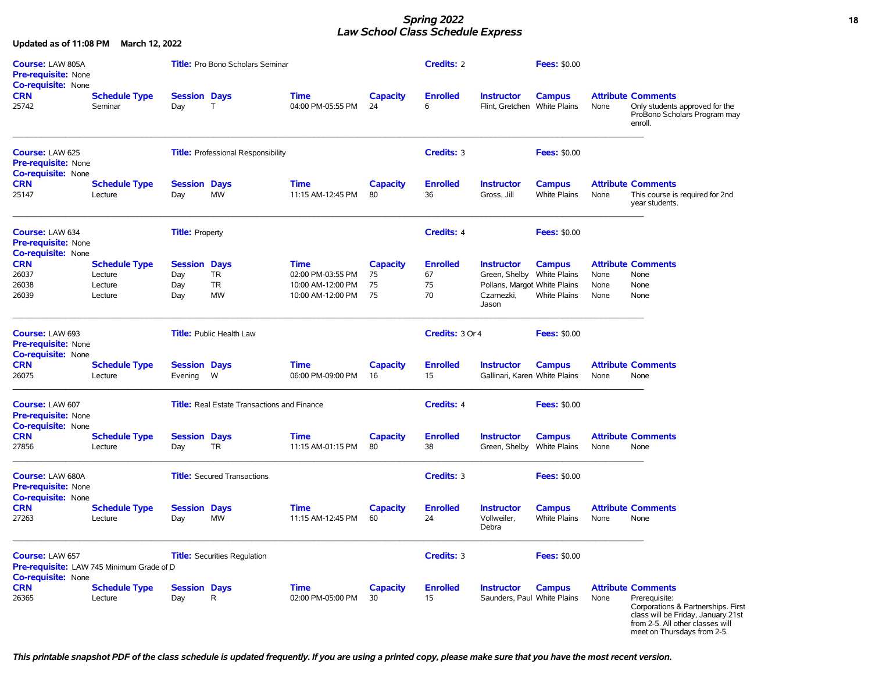### *Spring 2022* **18** *Law School Class Schedule Express*

| <b>Course: LAW 805A</b><br><b>Pre-requisite: None</b><br><b>Co-requisite: None</b>               |                                                       |                                          | <b>Title:</b> Pro Bono Scholars Seminar            | <b>Credits: 2</b>                                                          |                                   | <b>Fees: \$0.00</b>               |                                                                                                        |                                      |                      |                                                                                                                                                                                           |
|--------------------------------------------------------------------------------------------------|-------------------------------------------------------|------------------------------------------|----------------------------------------------------|----------------------------------------------------------------------------|-----------------------------------|-----------------------------------|--------------------------------------------------------------------------------------------------------|--------------------------------------|----------------------|-------------------------------------------------------------------------------------------------------------------------------------------------------------------------------------------|
| <b>CRN</b><br>25742                                                                              | <b>Schedule Type</b><br>Seminar                       | <b>Session Days</b><br>Day               | $\top$                                             | <b>Time</b><br>04:00 PM-05:55 PM                                           | <b>Capacity</b><br>24             | <b>Enrolled</b><br>6              | <b>Instructor</b><br>Flint, Gretchen White Plains                                                      | <b>Campus</b>                        | None                 | <b>Attribute Comments</b><br>Only students approved for the<br>ProBono Scholars Program may<br>enroll.                                                                                    |
| Course: LAW 625<br>Pre-requisite: None<br><b>Co-requisite: None</b>                              |                                                       |                                          | <b>Title:</b> Professional Responsibility          |                                                                            |                                   | Credits: 3                        |                                                                                                        | <b>Fees: \$0.00</b>                  |                      |                                                                                                                                                                                           |
| <b>CRN</b><br>25147                                                                              | <b>Schedule Type</b><br>Lecture                       | <b>Session Days</b><br>Day               | <b>MW</b>                                          | <b>Time</b><br>11:15 AM-12:45 PM                                           | <b>Capacity</b><br>80             | <b>Enrolled</b><br>36             | <b>Instructor</b><br>Gross, Jill                                                                       | <b>Campus</b><br><b>White Plains</b> | None                 | <b>Attribute Comments</b><br>This course is required for 2nd<br>year students.                                                                                                            |
| <b>Course: LAW 634</b><br><b>Pre-requisite: None</b><br><b>Co-requisite: None</b>                |                                                       | <b>Title: Property</b>                   |                                                    |                                                                            |                                   | <b>Credits: 4</b>                 |                                                                                                        | <b>Fees: \$0.00</b>                  |                      |                                                                                                                                                                                           |
| <b>CRN</b><br>26037<br>26038<br>26039                                                            | <b>Schedule Type</b><br>Lecture<br>Lecture<br>Lecture | <b>Session Days</b><br>Day<br>Day<br>Day | TR<br><b>TR</b><br><b>MW</b>                       | <b>Time</b><br>02:00 PM-03:55 PM<br>10:00 AM-12:00 PM<br>10:00 AM-12:00 PM | <b>Capacity</b><br>75<br>75<br>75 | <b>Enrolled</b><br>67<br>75<br>70 | <b>Instructor</b><br>Green, Shelby White Plains<br>Pollans, Margot White Plains<br>Czarnezki,<br>Jason | <b>Campus</b><br><b>White Plains</b> | None<br>None<br>None | <b>Attribute Comments</b><br>None<br>None<br>None                                                                                                                                         |
| Course: LAW 693<br><b>Pre-requisite: None</b><br><b>Co-requisite: None</b>                       |                                                       |                                          | <b>Title:</b> Public Health Law                    |                                                                            |                                   | Credits: 3 Or 4                   |                                                                                                        | <b>Fees: \$0.00</b>                  |                      |                                                                                                                                                                                           |
| <b>CRN</b><br>26075                                                                              | <b>Schedule Type</b><br>Lecture                       | <b>Session Days</b><br>Evening           | W                                                  | <b>Time</b><br>06:00 PM-09:00 PM                                           | <b>Capacity</b><br>16             | <b>Enrolled</b><br>15             | <b>Instructor</b><br>Gallinari, Karen White Plains                                                     | <b>Campus</b>                        | None                 | <b>Attribute Comments</b><br>None                                                                                                                                                         |
| Course: LAW 607<br><b>Pre-requisite: None</b><br>Co-requisite: None                              |                                                       |                                          | <b>Title:</b> Real Estate Transactions and Finance |                                                                            |                                   | <b>Credits: 4</b>                 |                                                                                                        | <b>Fees: \$0.00</b>                  |                      |                                                                                                                                                                                           |
| <b>CRN</b><br>27856                                                                              | <b>Schedule Type</b><br>Lecture                       | <b>Session Days</b><br>Day               | TR                                                 | <b>Time</b><br>11:15 AM-01:15 PM                                           | <b>Capacity</b><br>80             | <b>Enrolled</b><br>38             | <b>Instructor</b><br>Green, Shelby                                                                     | <b>Campus</b><br><b>White Plains</b> | None                 | <b>Attribute Comments</b><br>None                                                                                                                                                         |
| Course: LAW 680A<br>Pre-requisite: None<br><b>Co-requisite: None</b>                             |                                                       |                                          | <b>Title:</b> Secured Transactions                 |                                                                            |                                   | <b>Credits: 3</b>                 |                                                                                                        | <b>Fees: \$0.00</b>                  |                      |                                                                                                                                                                                           |
| <b>CRN</b><br>27263                                                                              | <b>Schedule Type</b><br>Lecture                       | <b>Session Days</b><br>Day               | <b>MW</b>                                          | <b>Time</b><br>11:15 AM-12:45 PM                                           | <b>Capacity</b><br>60             | <b>Enrolled</b><br>24             | <b>Instructor</b><br>Vollweiler,<br>Debra                                                              | <b>Campus</b><br><b>White Plains</b> | None                 | <b>Attribute Comments</b><br>None                                                                                                                                                         |
| <b>Course: LAW 657</b><br>Pre-requisite: LAW 745 Minimum Grade of D<br><b>Co-requisite: None</b> |                                                       |                                          | <b>Title:</b> Securities Regulation                |                                                                            |                                   | <b>Credits: 3</b>                 |                                                                                                        | <b>Fees: \$0.00</b>                  |                      |                                                                                                                                                                                           |
| <b>CRN</b><br>26365                                                                              | <b>Schedule Type</b><br>Lecture                       | <b>Session Days</b><br>Day               | R                                                  | <b>Time</b><br>02:00 PM-05:00 PM                                           | <b>Capacity</b><br>30             | <b>Enrolled</b><br>15             | <b>Instructor</b><br>Saunders, Paul White Plains                                                       | <b>Campus</b>                        | None                 | <b>Attribute Comments</b><br>Prerequisite:<br>Corporations & Partnerships. First<br>class will be Friday, January 21st<br>from 2-5. All other classes will<br>meet on Thursdays from 2-5. |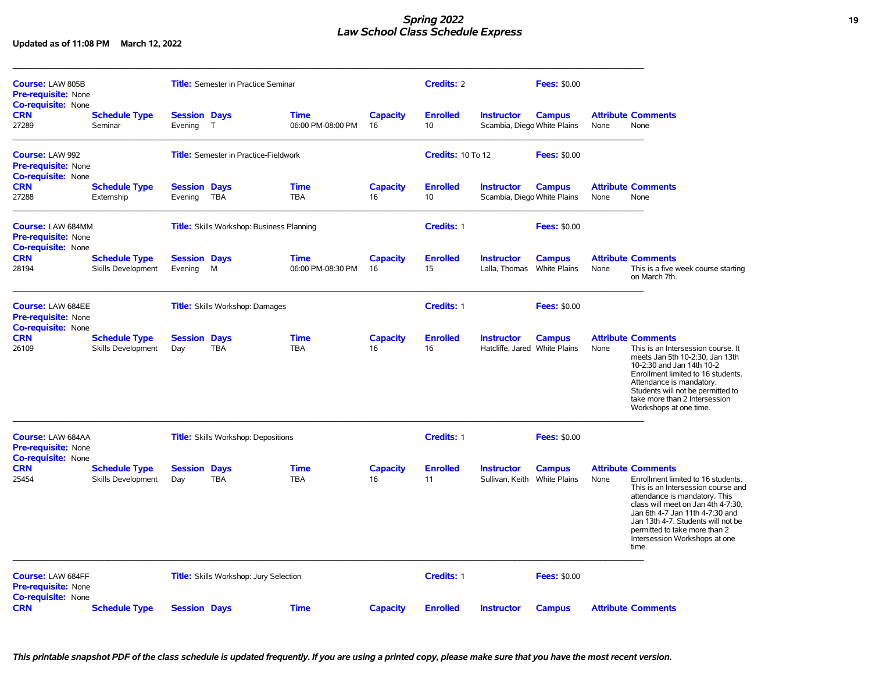## *Spring 2022* **19** *Law School Class Schedule Express*

**Updated as of 11:08 PM March 12, 2022**

| <b>Course: LAW 805B</b><br><b>Pre-requisite: None</b><br><b>Co-requisite: None</b>  |                                                   |                                            | <b>Title:</b> Semester in Practice Seminar       |                           |                       | <b>Credits: 2</b>                  |                                                    | <b>Fees: \$0.00</b>                  |      |                                                                                                                                                                                                                                                                                                                                  |
|-------------------------------------------------------------------------------------|---------------------------------------------------|--------------------------------------------|--------------------------------------------------|---------------------------|-----------------------|------------------------------------|----------------------------------------------------|--------------------------------------|------|----------------------------------------------------------------------------------------------------------------------------------------------------------------------------------------------------------------------------------------------------------------------------------------------------------------------------------|
| <b>CRN</b><br>27289                                                                 | <b>Schedule Type</b><br>Seminar                   | <b>Session Days</b><br>Evening             | $\top$                                           | Time<br>06:00 PM-08:00 PM | <b>Capacity</b><br>16 | <b>Enrolled</b><br>10              | <b>Instructor</b><br>Scambia, Diego White Plains   | <b>Campus</b>                        | None | <b>Attribute Comments</b><br>None                                                                                                                                                                                                                                                                                                |
| Course: LAW 992<br><b>Pre-requisite: None</b><br><b>Co-requisite: None</b>          |                                                   |                                            | <b>Title:</b> Semester in Practice-Fieldwork     |                           |                       | <b>Credits: 10 To 12</b>           |                                                    | <b>Fees: \$0.00</b>                  |      |                                                                                                                                                                                                                                                                                                                                  |
| <b>CRN</b><br>27288                                                                 | <b>Schedule Type</b><br>Externship                | <b>Session Days</b><br>Evening             | <b>TBA</b>                                       | <b>Time</b><br><b>TBA</b> | <b>Capacity</b><br>16 | <b>Enrolled</b><br>10 <sup>°</sup> | <b>Instructor</b><br>Scambia, Diego White Plains   | <b>Campus</b>                        | None | <b>Attribute Comments</b><br>None                                                                                                                                                                                                                                                                                                |
| <b>Course: LAW 684MM</b><br><b>Pre-requisite: None</b><br><b>Co-requisite: None</b> |                                                   |                                            | <b>Title:</b> Skills Workshop: Business Planning |                           |                       | Credits: 1                         |                                                    | <b>Fees: \$0.00</b>                  |      |                                                                                                                                                                                                                                                                                                                                  |
| <b>CRN</b><br>28194                                                                 | <b>Schedule Type</b><br>Skills Development        | <b>Session Days</b><br>Evening             | M                                                | Time<br>06:00 PM-08:30 PM | <b>Capacity</b><br>16 | <b>Enrolled</b><br>15              | <b>Instructor</b><br>Lalla, Thomas White Plains    | <b>Campus</b>                        | None | <b>Attribute Comments</b><br>This is a five week course starting<br>on March 7th.                                                                                                                                                                                                                                                |
| <b>Course: LAW 684EE</b><br><b>Pre-requisite: None</b><br><b>Co-requisite: None</b> |                                                   |                                            | <b>Title:</b> Skills Workshop: Damages           |                           |                       | Credits: 1                         |                                                    | <b>Fees: \$0.00</b>                  |      |                                                                                                                                                                                                                                                                                                                                  |
| <b>CRN</b><br>26109                                                                 | <b>Schedule Type</b><br><b>Skills Development</b> | <b>Session Days</b><br>Day                 | <b>TBA</b>                                       | Time<br><b>TBA</b>        | <b>Capacity</b><br>16 | <b>Enrolled</b><br>16              | <b>Instructor</b><br>Hatcliffe, Jared White Plains | <b>Campus</b>                        | None | <b>Attribute Comments</b><br>This is an Intersession course. It<br>meets Jan 5th 10-2:30, Jan 13th<br>10-2:30 and Jan 14th 10-2<br>Enrollment limited to 16 students.<br>Attendance is mandatory.<br>Students will not be permitted to<br>take more than 2 Intersession<br>Workshops at one time.                                |
| <b>Course: LAW 684AA</b><br><b>Pre-requisite: None</b><br><b>Co-requisite: None</b> |                                                   | <b>Title:</b> Skills Workshop: Depositions |                                                  |                           |                       |                                    |                                                    | <b>Fees: \$0.00</b>                  |      |                                                                                                                                                                                                                                                                                                                                  |
| <b>CRN</b><br>25454                                                                 | <b>Schedule Type</b><br><b>Skills Development</b> | <b>Session</b><br>Day                      | <b>Days</b><br><b>TBA</b>                        | <b>Time</b><br><b>TBA</b> | <b>Capacity</b><br>16 | <b>Enrolled</b><br>11              | <b>Instructor</b><br>Sullivan, Keith               | <b>Campus</b><br><b>White Plains</b> | None | <b>Attribute Comments</b><br>Enrollment limited to 16 students.<br>This is an Intersession course and<br>attendance is mandatory. This<br>class will meet on Jan 4th 4-7:30.<br>Jan 6th 4-7 Jan 11th 4-7:30 and<br>Jan 13th 4-7. Students will not be<br>permitted to take more than 2<br>Intersession Workshops at one<br>time. |
| <b>Course: LAW 684FF</b><br><b>Pre-requisite: None</b>                              |                                                   |                                            | <b>Title:</b> Skills Workshop: Jury Selection    |                           |                       | Credits: 1                         |                                                    | <b>Fees: \$0.00</b>                  |      |                                                                                                                                                                                                                                                                                                                                  |
| <b>Co-requisite: None</b><br><b>CRN</b>                                             | <b>Schedule Type</b>                              | <b>Session Days</b>                        |                                                  | <b>Time</b>               | <b>Capacity</b>       | <b>Enrolled</b>                    | <b>Instructor</b>                                  | <b>Campus</b>                        |      | <b>Attribute Comments</b>                                                                                                                                                                                                                                                                                                        |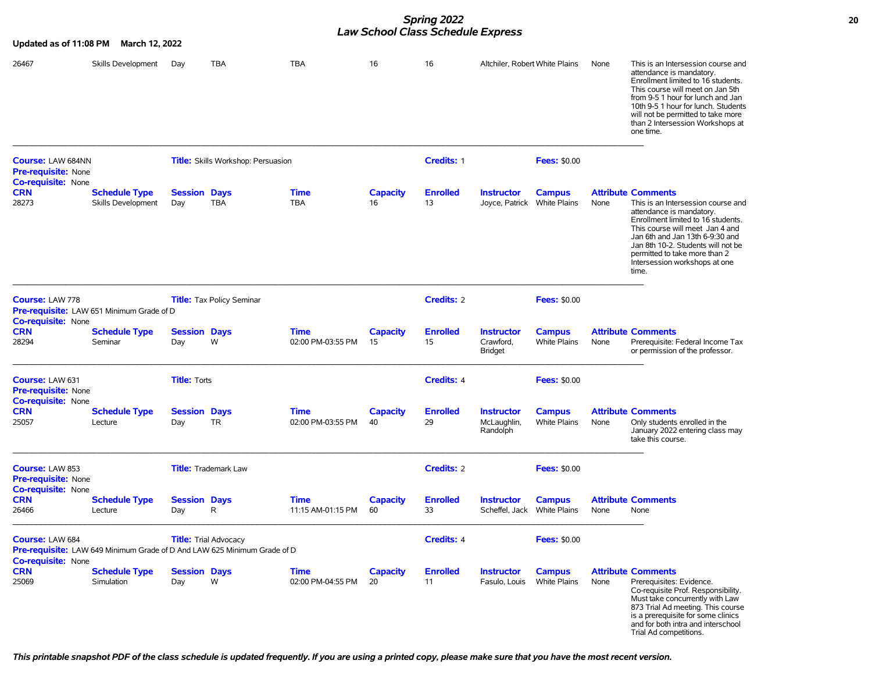## *Spring 2022* **20** *Law School Class Schedule Express*

| Updated as of 11:08 PM                                              | March 12, 2022                             |                            |                                                                                                          |                                  |                       | School Clubs Schedule Expless |                                                  |                                      |      |                                                                                                                                                                                                                                                                                                                          |
|---------------------------------------------------------------------|--------------------------------------------|----------------------------|----------------------------------------------------------------------------------------------------------|----------------------------------|-----------------------|-------------------------------|--------------------------------------------------|--------------------------------------|------|--------------------------------------------------------------------------------------------------------------------------------------------------------------------------------------------------------------------------------------------------------------------------------------------------------------------------|
| 26467                                                               | Skills Development                         | Day                        | <b>TBA</b>                                                                                               | <b>TBA</b>                       | 16                    | 16                            | Altchiler, Robert White Plains                   |                                      | None | This is an Intersession course and<br>attendance is mandatory.<br>Enrollment limited to 16 students.<br>This course will meet on Jan 5th<br>from 9-5 1 hour for lunch and Jan<br>10th 9-5 1 hour for lunch. Students<br>will not be permitted to take more<br>than 2 Intersession Workshops at<br>one time.              |
| <b>Course: LAW 684NN</b><br><b>Pre-requisite: None</b>              |                                            |                            | <b>Title:</b> Skills Workshop: Persuasion                                                                |                                  |                       | Credits: 1                    |                                                  | <b>Fees: \$0.00</b>                  |      |                                                                                                                                                                                                                                                                                                                          |
| <b>Co-requisite:</b> None<br>CRN<br>28273                           | <b>Schedule Type</b><br>Skills Development | <b>Session Days</b><br>Day | <b>TBA</b>                                                                                               | <b>Time</b><br><b>TBA</b>        | <b>Capacity</b><br>16 | <b>Enrolled</b><br>13         | <b>Instructor</b><br>Joyce, Patrick White Plains | <b>Campus</b>                        | None | <b>Attribute Comments</b><br>This is an Intersession course and<br>attendance is mandatory.<br>Enrollment limited to 16 students.<br>This course will meet Jan 4 and<br>Jan 6th and Jan 13th 6-9:30 and<br>Jan 8th 10-2. Students will not be<br>permitted to take more than 2<br>Intersession workshops at one<br>time. |
| <b>Course: LAW 778</b>                                              | Pre-requisite: LAW 651 Minimum Grade of D  |                            | Title: Tax Policy Seminar                                                                                |                                  |                       | <b>Credits: 2</b>             |                                                  | <b>Fees: \$0.00</b>                  |      |                                                                                                                                                                                                                                                                                                                          |
| <b>Co-requisite:</b> None<br>CRN<br>28294                           | <b>Schedule Type</b><br>Seminar            | <b>Session Days</b><br>Day | W                                                                                                        | <b>Time</b><br>02:00 PM-03:55 PM | <b>Capacity</b><br>15 | <b>Enrolled</b><br>15         | <b>Instructor</b><br>Crawford.<br>Bridget        | <b>Campus</b><br><b>White Plains</b> | None | <b>Attribute Comments</b><br>Prerequisite: Federal Income Tax<br>or permission of the professor.                                                                                                                                                                                                                         |
| Course: LAW 631<br>Pre-requisite: None<br><b>Co-requisite:</b> None |                                            | <b>Title: Torts</b>        |                                                                                                          |                                  |                       | Credits: 4                    |                                                  | <b>Fees: \$0.00</b>                  |      |                                                                                                                                                                                                                                                                                                                          |
| CRN<br>25057                                                        | <b>Schedule Type</b><br>Lecture            | <b>Session Days</b><br>Day | <b>TR</b>                                                                                                | <b>Time</b><br>02:00 PM-03:55 PM | <b>Capacity</b><br>40 | <b>Enrolled</b><br>29         | <b>Instructor</b><br>McLaughlin,<br>Randolph     | <b>Campus</b><br><b>White Plains</b> | None | <b>Attribute Comments</b><br>Only students enrolled in the<br>January 2022 entering class may<br>take this course.                                                                                                                                                                                                       |
| Course: LAW 853<br>Pre-requisite: None                              |                                            |                            | <b>Title:</b> Trademark Law                                                                              |                                  |                       | <b>Credits: 2</b>             |                                                  | <b>Fees: \$0.00</b>                  |      |                                                                                                                                                                                                                                                                                                                          |
| Co-requisite: None<br><b>CRN</b><br>26466                           | <b>Schedule Type</b><br>Lecture            | <b>Session Days</b><br>Day | R                                                                                                        | <b>Time</b><br>11:15 AM-01:15 PM | <b>Capacity</b><br>60 | <b>Enrolled</b><br>33         | <b>Instructor</b><br>Scheffel, Jack White Plains | <b>Campus</b>                        | None | <b>Attribute Comments</b><br>None                                                                                                                                                                                                                                                                                        |
| Course: LAW 684<br><b>Co-requisite:</b> None                        |                                            |                            | <b>Title:</b> Trial Advocacy<br>Pre-requisite: LAW 649 Minimum Grade of D And LAW 625 Minimum Grade of D |                                  |                       | Credits: 4                    |                                                  | <b>Fees: \$0.00</b>                  |      |                                                                                                                                                                                                                                                                                                                          |
| <b>CRN</b><br>25069                                                 | <b>Schedule Type</b><br>Simulation         | <b>Session Days</b><br>Day | W                                                                                                        | <b>Time</b><br>02:00 PM-04:55 PM | <b>Capacity</b><br>20 | <b>Enrolled</b><br>11         | <b>Instructor</b><br>Fasulo, Louis               | <b>Campus</b><br><b>White Plains</b> | None | <b>Attribute Comments</b><br>Prerequisites: Evidence.<br>Co-requisite Prof. Responsibility.<br>Must take concurrently with Law<br>873 Trial Ad meeting. This course<br>is a prerequisite for some clinics<br>and for both intra and interschool<br>Trial Ad competitions.                                                |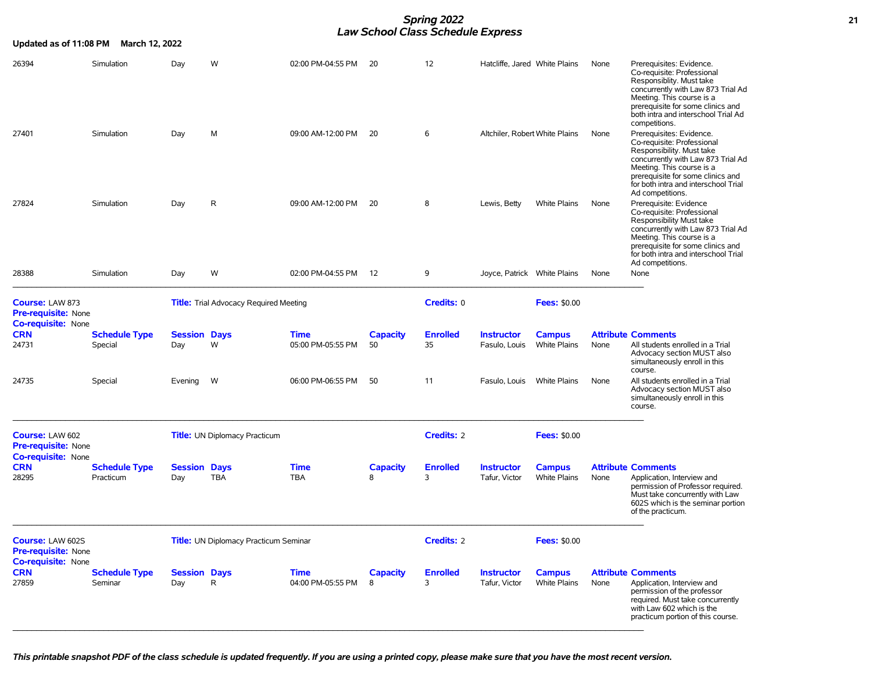### *Spring 2022* **21** *Law School Class Schedule Express*

| Updated as of 11:08 PM                                                     | <b>March 12, 2022</b>             |                            |                                               |                                  |                       |                       |                                    |                                      |      |                                                                                                                                                                                                                                                         |
|----------------------------------------------------------------------------|-----------------------------------|----------------------------|-----------------------------------------------|----------------------------------|-----------------------|-----------------------|------------------------------------|--------------------------------------|------|---------------------------------------------------------------------------------------------------------------------------------------------------------------------------------------------------------------------------------------------------------|
| 26394                                                                      | Simulation                        | Day                        | W                                             | 02:00 PM-04:55 PM                | -20                   | 12                    | Hatcliffe, Jared White Plains      |                                      | None | Prerequisites: Evidence.<br>Co-requisite: Professional<br>Responsiblity. Must take<br>concurrently with Law 873 Trial Ad<br>Meeting. This course is a<br>prerequisite for some clinics and<br>both intra and interschool Trial Ad<br>competitions.      |
| 27401                                                                      | Simulation                        | Day                        | M                                             | 09:00 AM-12:00 PM                | 20                    | 6                     | Altchiler, Robert White Plains     |                                      | None | Prerequisites: Evidence.<br>Co-requisite: Professional<br>Responsibility. Must take<br>concurrently with Law 873 Trial Ad<br>Meeting. This course is a<br>prerequisite for some clinics and<br>for both intra and interschool Trial<br>Ad competitions. |
| 27824                                                                      | Simulation                        | Day                        | $\mathsf{R}$                                  | 09:00 AM-12:00 PM                | 20                    | 8                     | Lewis, Betty                       | <b>White Plains</b>                  | None | Prerequisite: Evidence<br>Co-requisite: Professional<br>Responsibility Must take<br>concurrently with Law 873 Trial Ad<br>Meeting. This course is a<br>prerequisite for some clinics and<br>for both intra and interschool Trial<br>Ad competitions.    |
| 28388                                                                      | Simulation                        | Day                        | W                                             | 02:00 PM-04:55 PM                | 12                    | 9                     | Joyce, Patrick White Plains        |                                      | None | None                                                                                                                                                                                                                                                    |
| Course: LAW 873<br><b>Pre-requisite: None</b><br>Co-requisite: None        |                                   |                            | <b>Title:</b> Trial Advocacy Required Meeting |                                  |                       | Credits: 0            |                                    | <b>Fees: \$0.00</b>                  |      |                                                                                                                                                                                                                                                         |
| <b>CRN</b><br>24731                                                        | <b>Schedule Type</b><br>Special   | <b>Session Days</b><br>Day | W                                             | <b>Time</b><br>05:00 PM-05:55 PM | <b>Capacity</b><br>50 | <b>Enrolled</b><br>35 | <b>Instructor</b><br>Fasulo, Louis | <b>Campus</b><br><b>White Plains</b> | None | <b>Attribute Comments</b><br>All students enrolled in a Trial<br>Advocacy section MUST also<br>simultaneously enroll in this<br>course.                                                                                                                 |
| 24735                                                                      | Special                           | Evening                    | W                                             | 06:00 PM-06:55 PM                | 50                    | 11                    | Fasulo, Louis                      | <b>White Plains</b>                  | None | All students enrolled in a Trial<br>Advocacy section MUST also<br>simultaneously enroll in this<br>course.                                                                                                                                              |
| <b>Course: LAW 602</b><br>Pre-requisite: None<br><b>Co-requisite: None</b> |                                   |                            | <b>Title:</b> UN Diplomacy Practicum          |                                  |                       | <b>Credits: 2</b>     |                                    | <b>Fees: \$0.00</b>                  |      |                                                                                                                                                                                                                                                         |
| <b>CRN</b><br>28295                                                        | <b>Schedule Type</b><br>Practicum | <b>Session Days</b><br>Day | <b>TBA</b>                                    | <b>Time</b><br><b>TBA</b>        | <b>Capacity</b><br>8  | <b>Enrolled</b><br>3  | <b>Instructor</b><br>Tafur, Victor | <b>Campus</b><br><b>White Plains</b> | None | <b>Attribute Comments</b><br>Application, Interview and<br>permission of Professor required.<br>Must take concurrently with Law<br>602S which is the seminar portion<br>of the practicum.                                                               |
| Course: LAW 602S<br>Pre-requisite: None<br>Co-requisite: None              |                                   |                            | <b>Title:</b> UN Diplomacy Practicum Seminar  |                                  |                       | <b>Credits: 2</b>     |                                    | <b>Fees: \$0.00</b>                  |      |                                                                                                                                                                                                                                                         |
| <b>CRN</b><br>27859                                                        | <b>Schedule Type</b><br>Seminar   | <b>Session Days</b><br>Day | $\mathsf{R}$                                  | <b>Time</b><br>04:00 PM-05:55 PM | <b>Capacity</b><br>8  | <b>Enrolled</b><br>3  | <b>Instructor</b><br>Tafur, Victor | <b>Campus</b><br><b>White Plains</b> | None | <b>Attribute Comments</b><br>Application, Interview and<br>permission of the professor<br>required. Must take concurrently<br>with Law 602 which is the<br>practicum portion of this course.                                                            |